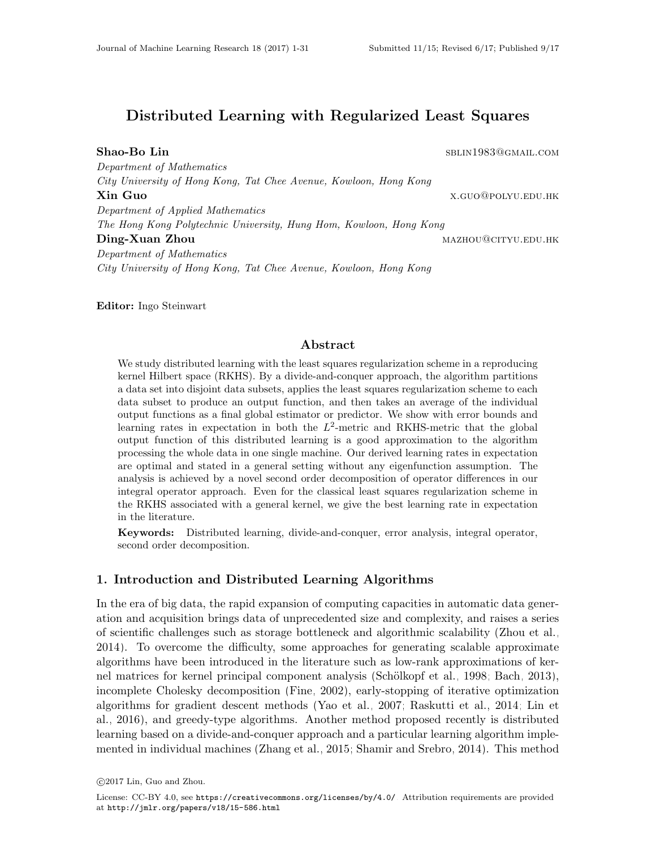# Distributed Learning with Regularized Least Squares

Shao-Bo Lin sblinning and the set of the set of the set of the set of the set of the set of the set of the set of the set of the set of the set of the set of the set of the set of the set of the set of the set of the set o Department of Mathematics City University of Hong Kong, Tat Chee Avenue, Kowloon, Hong Kong **Xin Guo** x.guo@polyu.edu.hk Department of Applied Mathematics The Hong Kong Polytechnic University, Hung Hom, Kowloon, Hong Kong Ding-Xuan Zhou mazhou mazhou mazhou@cityu.edu.hk Department of Mathematics City University of Hong Kong, Tat Chee Avenue, Kowloon, Hong Kong

Editor: Ingo Steinwart

#### Abstract

We study distributed learning with the least squares regularization scheme in a reproducing kernel Hilbert space (RKHS). By a divide-and-conquer approach, the algorithm partitions a data set into disjoint data subsets, applies the least squares regularization scheme to each data subset to produce an output function, and then takes an average of the individual output functions as a final global estimator or predictor. We show with error bounds and learning rates in expectation in both the  $L^2$ -metric and RKHS-metric that the global output function of this distributed learning is a good approximation to the algorithm processing the whole data in one single machine. Our derived learning rates in expectation are optimal and stated in a general setting without any eigenfunction assumption. The analysis is achieved by a novel second order decomposition of operator differences in our integral operator approach. Even for the classical least squares regularization scheme in the RKHS associated with a general kernel, we give the best learning rate in expectation in the literature.

Keywords: Distributed learning, divide-and-conquer, error analysis, integral operator, second order decomposition.

## 1. Introduction and Distributed Learning Algorithms

In the era of big data, the rapid expansion of computing capacities in automatic data generation and acquisition brings data of unprecedented size and complexity, and raises a series of scientific challenges such as storage bottleneck and algorithmic scalability [\(Zhou et al.,](#page-30-0) [2014\)](#page-30-0). To overcome the difficulty, some approaches for generating scalable approximate algorithms have been introduced in the literature such as low-rank approximations of ker-nel matrices for kernel principal component analysis (Schölkopf et al., 1998; [Bach, 2013\)](#page-27-0), incomplete Cholesky decomposition [\(Fine, 2002\)](#page-28-0), early-stopping of iterative optimization algorithms for gradient descent methods [\(Yao et al., 2007;](#page-30-1) [Raskutti et al., 2014;](#page-29-1) [Lin et](#page-29-2) [al., 2016\)](#page-29-2), and greedy-type algorithms. Another method proposed recently is distributed learning based on a divide-and-conquer approach and a particular learning algorithm implemented in individual machines [\(Zhang et al., 2015;](#page-30-2) [Shamir and Srebro, 2014\)](#page-29-3). This method

c 2017 Lin, Guo and Zhou.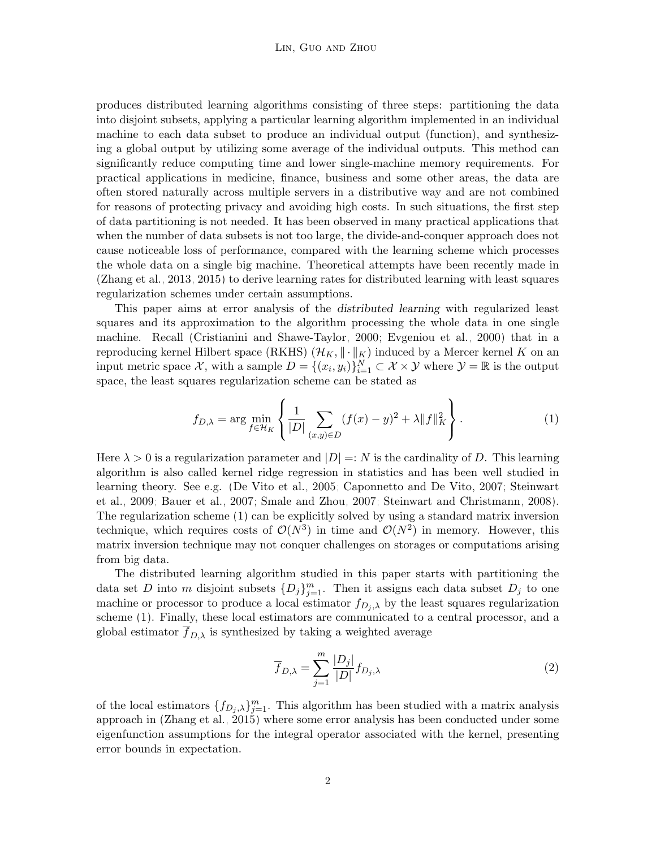produces distributed learning algorithms consisting of three steps: partitioning the data into disjoint subsets, applying a particular learning algorithm implemented in an individual machine to each data subset to produce an individual output (function), and synthesizing a global output by utilizing some average of the individual outputs. This method can significantly reduce computing time and lower single-machine memory requirements. For practical applications in medicine, finance, business and some other areas, the data are often stored naturally across multiple servers in a distributive way and are not combined for reasons of protecting privacy and avoiding high costs. In such situations, the first step of data partitioning is not needed. It has been observed in many practical applications that when the number of data subsets is not too large, the divide-and-conquer approach does not cause noticeable loss of performance, compared with the learning scheme which processes the whole data on a single big machine. Theoretical attempts have been recently made in [\(Zhang et al., 2013,](#page-30-3) [2015\)](#page-30-2) to derive learning rates for distributed learning with least squares regularization schemes under certain assumptions.

This paper aims at error analysis of the distributed learning with regularized least squares and its approximation to the algorithm processing the whole data in one single machine. Recall [\(Cristianini and Shawe-Taylor, 2000;](#page-28-1) [Evgeniou et al., 2000\)](#page-28-2) that in a reproducing kernel Hilbert space (RKHS)  $(\mathcal{H}_K, \|\cdot\|_K)$  induced by a Mercer kernel K on an input metric space X, with a sample  $D = \{(x_i, y_i)\}_{i=1}^N \subset \mathcal{X} \times \mathcal{Y}$  where  $\mathcal{Y} = \mathbb{R}$  is the output space, the least squares regularization scheme can be stated as

<span id="page-1-0"></span>
$$
f_{D,\lambda} = \arg \min_{f \in \mathcal{H}_K} \left\{ \frac{1}{|D|} \sum_{(x,y) \in D} (f(x) - y)^2 + \lambda ||f||_K^2 \right\}.
$$
 (1)

Here  $\lambda > 0$  is a regularization parameter and  $|D| =: N$  is the cardinality of D. This learning algorithm is also called kernel ridge regression in statistics and has been well studied in learning theory. See e.g. [\(De Vito et al., 2005;](#page-28-3) [Caponnetto and De Vito, 2007;](#page-28-4) [Steinwart](#page-29-4) [et al., 2009;](#page-29-4) [Bauer et al., 2007;](#page-27-1) [Smale and Zhou, 2007;](#page-29-5) [Steinwart and Christmann, 2008\)](#page-29-6). The regularization scheme [\(1\)](#page-1-0) can be explicitly solved by using a standard matrix inversion technique, which requires costs of  $\mathcal{O}(N^3)$  in time and  $\mathcal{O}(N^2)$  in memory. However, this matrix inversion technique may not conquer challenges on storages or computations arising from big data.

The distributed learning algorithm studied in this paper starts with partitioning the data set D into m disjoint subsets  $\{D_j\}_{j=1}^m$ . Then it assigns each data subset  $D_j$  to one machine or processor to produce a local estimator  $f_{D_i,\lambda}$  by the least squares regularization scheme [\(1\)](#page-1-0). Finally, these local estimators are communicated to a central processor, and a global estimator  $f_{D,\lambda}$  is synthesized by taking a weighted average

<span id="page-1-1"></span>
$$
\overline{f}_{D,\lambda} = \sum_{j=1}^{m} \frac{|D_j|}{|D|} f_{D_j,\lambda}
$$
\n(2)

of the local estimators  $\{f_{D_j,\lambda}\}_{j=1}^m$ . This algorithm has been studied with a matrix analysis approach in [\(Zhang et al., 2015\)](#page-30-2) where some error analysis has been conducted under some eigenfunction assumptions for the integral operator associated with the kernel, presenting error bounds in expectation.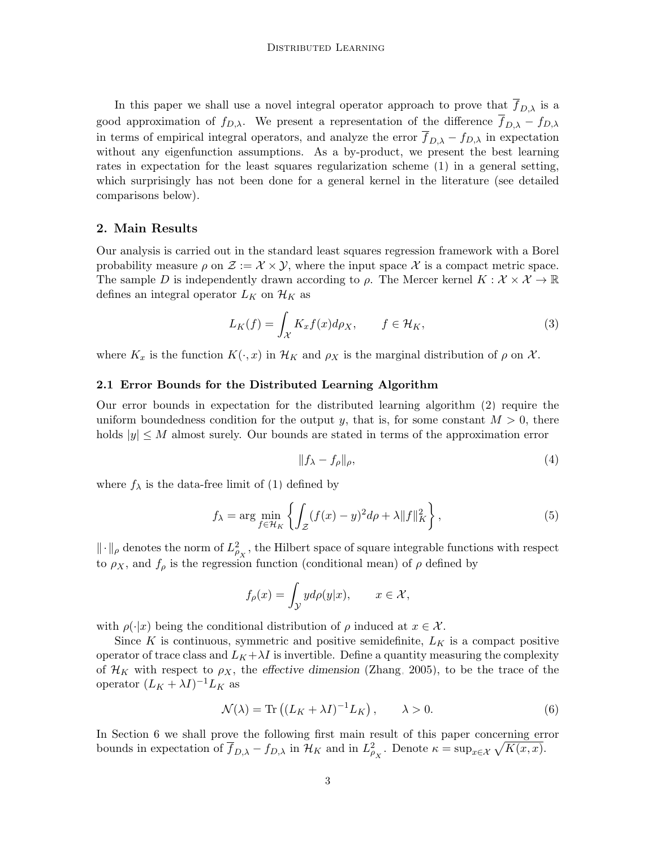In this paper we shall use a novel integral operator approach to prove that  $f_{D,\lambda}$  is a good approximation of  $f_{D,\lambda}$ . We present a representation of the difference  $f_{D,\lambda} - f_{D,\lambda}$ in terms of empirical integral operators, and analyze the error  $\overline{f}_{D,\lambda} - f_{D,\lambda}$  in expectation without any eigenfunction assumptions. As a by-product, we present the best learning rates in expectation for the least squares regularization scheme [\(1\)](#page-1-0) in a general setting, which surprisingly has not been done for a general kernel in the literature (see detailed comparisons below).

#### 2. Main Results

Our analysis is carried out in the standard least squares regression framework with a Borel probability measure  $\rho$  on  $\mathcal{Z} := \mathcal{X} \times \mathcal{Y}$ , where the input space  $\mathcal{X}$  is a compact metric space. The sample D is independently drawn according to  $\rho$ . The Mercer kernel  $K : \mathcal{X} \times \mathcal{X} \to \mathbb{R}$ defines an integral operator  $L_K$  on  $\mathcal{H}_K$  as

$$
L_K(f) = \int_{\mathcal{X}} K_x f(x) d\rho_X, \qquad f \in \mathcal{H}_K,
$$
\n(3)

where  $K_x$  is the function  $K(\cdot, x)$  in  $\mathcal{H}_K$  and  $\rho_X$  is the marginal distribution of  $\rho$  on X.

#### 2.1 Error Bounds for the Distributed Learning Algorithm

Our error bounds in expectation for the distributed learning algorithm [\(2\)](#page-1-1) require the uniform boundedness condition for the output y, that is, for some constant  $M > 0$ , there holds  $|y| \leq M$  almost surely. Our bounds are stated in terms of the approximation error

$$
||f_{\lambda} - f_{\rho}||_{\rho},\tag{4}
$$

where  $f_{\lambda}$  is the data-free limit of [\(1\)](#page-1-0) defined by

$$
f_{\lambda} = \arg \min_{f \in \mathcal{H}_K} \left\{ \int_{\mathcal{Z}} (f(x) - y)^2 d\rho + \lambda \|f\|_K^2 \right\},\tag{5}
$$

 $\|\cdot\|_{\rho}$  denotes the norm of  $L^2_{\rho_X}$ , the Hilbert space of square integrable functions with respect to  $\rho_X$ , and  $f_\rho$  is the regression function (conditional mean) of  $\rho$  defined by

$$
f_{\rho}(x) = \int_{\mathcal{Y}} y d\rho(y|x), \qquad x \in \mathcal{X},
$$

with  $\rho(\cdot|x)$  being the conditional distribution of  $\rho$  induced at  $x \in \mathcal{X}$ .

Since K is continuous, symmetric and positive semidefinite,  $L_K$  is a compact positive operator of trace class and  $L_K + \lambda I$  is invertible. Define a quantity measuring the complexity of  $\mathcal{H}_K$  with respect to  $\rho_X$ , the effective dimension [\(Zhang, 2005\)](#page-30-4), to be the trace of the operator  $(L_K + \lambda I)^{-1} L_K$  as

$$
\mathcal{N}(\lambda) = \text{Tr}\left( (L_K + \lambda I)^{-1} L_K \right), \qquad \lambda > 0. \tag{6}
$$

<span id="page-2-0"></span>In Section [6](#page-17-0) we shall prove the following first main result of this paper concerning error bounds in expectation of  $\overline{f}_{D,\lambda} - f_{D,\lambda}$  in  $\mathcal{H}_K$  and in  $L^2_{\rho_X}$ . Denote  $\kappa = \sup_{x \in \mathcal{X}} \sqrt{K(x, x)}$ .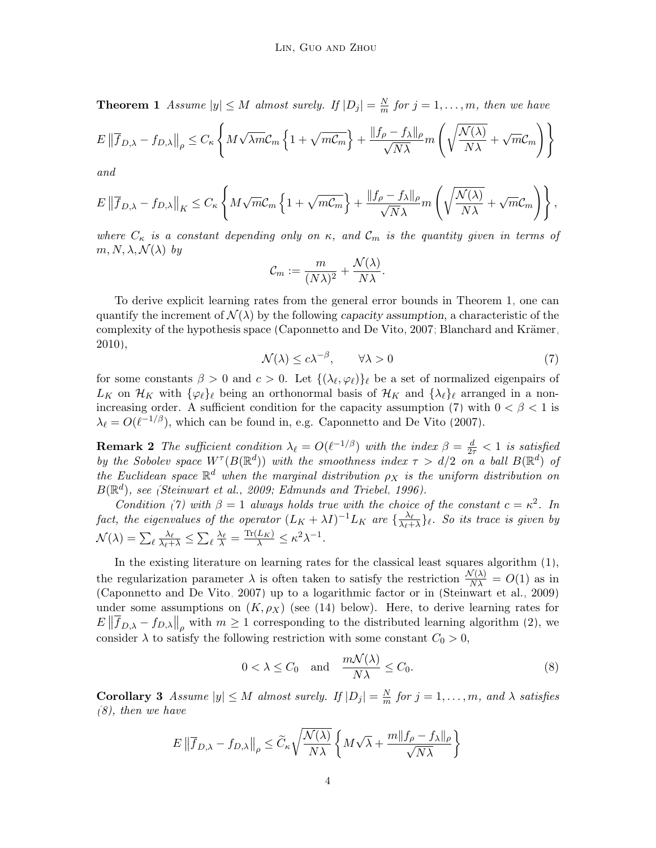**Theorem 1** Assume  $|y| \leq M$  almost surely. If  $|D_j| = \frac{N}{m}$  $\frac{N}{m}$  for  $j = 1, \ldots, m$ , then we have

$$
E\left\|\overline{f}_{D,\lambda} - f_{D,\lambda}\right\|_{\rho} \le C_{\kappa} \left\{ M\sqrt{\lambda m} \mathcal{C}_m \left\{1 + \sqrt{m\mathcal{C}_m}\right\} + \frac{\|f_{\rho} - f_{\lambda}\|_{\rho}}{\sqrt{N\lambda}} m \left(\sqrt{\frac{\mathcal{N}(\lambda)}{N\lambda}} + \sqrt{m}\mathcal{C}_m\right) \right\}
$$

and

$$
E\left\|\overline{f}_{D,\lambda} - f_{D,\lambda}\right\|_{K} \leq C_{\kappa} \left\{ M\sqrt{m} \mathcal{C}_{m} \left\{1 + \sqrt{m\mathcal{C}_{m}}\right\} + \frac{\|f_{\rho} - f_{\lambda}\|_{\rho}}{\sqrt{N}\lambda} m\left(\sqrt{\frac{\mathcal{N}(\lambda)}{N\lambda}} + \sqrt{m}\mathcal{C}_{m}\right) \right\},\,
$$

where  $C_{\kappa}$  is a constant depending only on  $\kappa$ , and  $C_m$  is the quantity given in terms of  $m, N, \lambda, \mathcal{N}(\lambda)$  by

$$
\mathcal{C}_m := \frac{m}{(N\lambda)^2} + \frac{\mathcal{N}(\lambda)}{N\lambda}.
$$

To derive explicit learning rates from the general error bounds in Theorem [1,](#page-2-0) one can quantify the increment of  $\mathcal{N}(\lambda)$  by the following capacity assumption, a characteristic of the complexity of the hypothesis space [\(Caponnetto and De Vito, 2007;](#page-28-4) Blanchard and Krämer, [2010\)](#page-27-2),

<span id="page-3-0"></span>
$$
\mathcal{N}(\lambda) \le c\lambda^{-\beta}, \qquad \forall \lambda > 0 \tag{7}
$$

for some constants  $\beta > 0$  and  $c > 0$ . Let  $\{(\lambda_{\ell}, \varphi_{\ell})\}_{\ell}$  be a set of normalized eigenpairs of  $L_K$  on  $\mathcal{H}_K$  with  $\{\varphi_\ell\}_\ell$  being an orthonormal basis of  $\mathcal{H}_K$  and  $\{\lambda_\ell\}_\ell$  arranged in a non-increasing order. A sufficient condition for the capacity assumption [\(7\)](#page-3-0) with  $0 < \beta < 1$  is  $\lambda_{\ell} = O(\ell^{-1/\beta})$ , which can be found in, e.g. [Caponnetto and De Vito \(2007\)](#page-28-4).

**Remark 2** The sufficient condition  $\lambda_{\ell} = O(\ell^{-1/\beta})$  with the index  $\beta = \frac{d}{2\tau} < 1$  is satisfied by the Sobolev space  $W^{\tau}(B(\mathbb{R}^d))$  with the smoothness index  $\tau > d/2$  on a ball  $B(\mathbb{R}^d)$  of the Euclidean space  $\mathbb{R}^d$  when the marginal distribution  $\rho_X$  is the uniform distribution on  $B(\mathbb{R}^d)$ , see [\(Steinwart et al., 2009;](#page-29-4) [Edmunds and Triebel, 1996\)](#page-28-5).

Condition [\(7\)](#page-3-0) with  $\beta = 1$  always holds true with the choice of the constant  $c = \kappa^2$ . In fact, the eigenvalues of the operator  $(L_K + \lambda I)^{-1}L_K$  are  $\{\frac{\lambda_\ell}{\lambda_\ell + 1}\}$  $\frac{\lambda_{\ell}}{\lambda_{\ell}+\lambda}\}_\ell$ . So its trace is given by  $\mathcal{N}(\lambda) = \sum_{\ell} \frac{\lambda_{\ell}}{\lambda_{\ell} + \lambda} \leq \sum_{\ell} \frac{\lambda_{\ell}}{\lambda} = \frac{\text{Tr}(L_K)}{\lambda} \leq \kappa^2 \lambda^{-1}.$ 

In the existing literature on learning rates for the classical least squares algorithm [\(1\)](#page-1-0), the regularization parameter  $\lambda$  is often taken to satisfy the restriction  $\frac{\mathcal{N}(\lambda)}{\mathcal{N}\lambda} = O(1)$  as in [\(Caponnetto and De Vito, 2007\)](#page-28-4) up to a logarithmic factor or in [\(Steinwart et al., 2009\)](#page-29-4) under some assumptions on  $(K, \rho_X)$  (see [\(14\)](#page-7-0) below). Here, to derive learning rates for  $E\left\|\overline{f}_{D,\lambda}-f_{D,\lambda}\right\|_{\rho}$  with  $m\geq 1$  corresponding to the distributed learning algorithm [\(2\)](#page-1-1), we consider  $\lambda$  to satisfy the following restriction with some constant  $C_0 > 0$ ,

<span id="page-3-1"></span>
$$
0 < \lambda \le C_0 \quad \text{and} \quad \frac{m\mathcal{N}(\lambda)}{N\lambda} \le C_0. \tag{8}
$$

<span id="page-3-2"></span>**Corollary 3** Assume  $|y| \leq M$  almost surely. If  $|D_j| = \frac{N}{m}$  $\frac{N}{m}$  for  $j = 1, \ldots, m$ , and  $\lambda$  satisfies [\(8\)](#page-3-1), then we have

$$
E \left\| \overline{f}_{D,\lambda} - f_{D,\lambda} \right\|_{\rho} \le \widetilde{C}_{\kappa} \sqrt{\frac{\mathcal{N}(\lambda)}{N\lambda}} \left\{ M\sqrt{\lambda} + \frac{m\|f_{\rho} - f_{\lambda}\|_{\rho}}{\sqrt{N\lambda}} \right\}
$$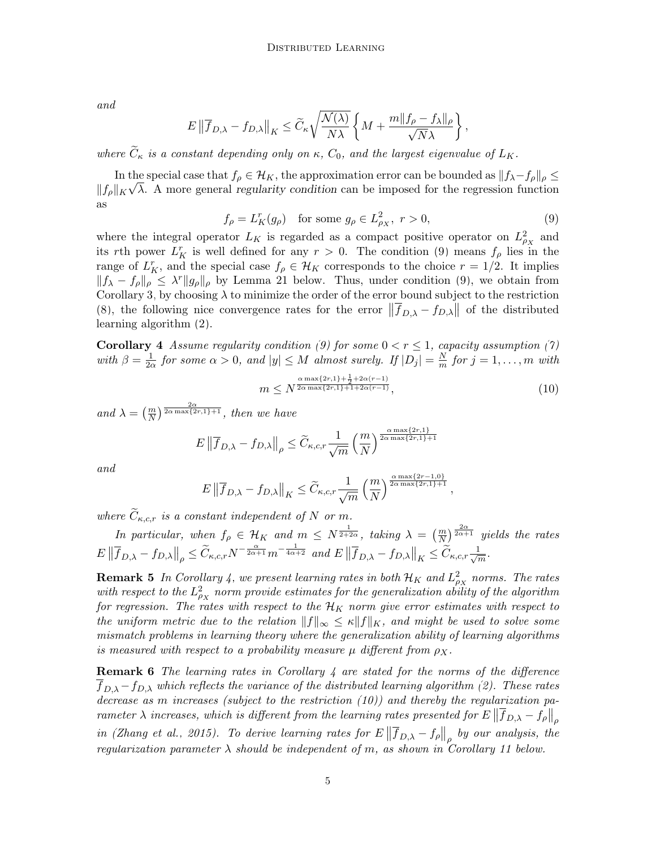and

$$
E\left\|\overline{f}_{D,\lambda} - f_{D,\lambda}\right\|_{K} \le \widetilde{C}_{\kappa} \sqrt{\frac{\mathcal{N}(\lambda)}{N\lambda}} \left\{ M + \frac{m\|f_{\rho} - f_{\lambda}\|_{\rho}}{\sqrt{N}\lambda} \right\},\,
$$

where  $C_{\kappa}$  is a constant depending only on  $\kappa$ ,  $C_0$ , and the largest eigenvalue of  $L_K$ .

In the special case that  $f_{\rho} \in \mathcal{H}_K$ , the approximation error can be bounded as  $||f_{\lambda} - f_{\rho}||_{\rho} \le$  $||f_{\rho}||_K \sqrt{\lambda}$ . A more general regularity condition can be imposed for the regression function as

<span id="page-4-0"></span>
$$
f_{\rho} = L_K^r(g_{\rho}) \quad \text{for some } g_{\rho} \in L_{\rho_X}^2, \ r > 0,
$$
\n
$$
(9)
$$

where the integral operator  $L_K$  is regarded as a compact positive operator on  $L_{\rho_X}^2$  and its rth power  $L_K^r$  is well defined for any  $r > 0$ . The condition [\(9\)](#page-4-0) means  $f_\rho$  lies in the range of  $L_K^r$ , and the special case  $f_\rho \in \mathcal{H}_K$  corresponds to the choice  $r = 1/2$ . It implies  $||f_{\lambda} - f_{\rho}||_{\rho} \leq \lambda^{r} ||g_{\rho}||_{\rho}$  by Lemma [21](#page-16-0) below. Thus, under condition [\(9\)](#page-4-0), we obtain from Corollary [3,](#page-3-2) by choosing  $\lambda$  to minimize the order of the error bound subject to the restriction [\(8\)](#page-3-1), the following nice convergence rates for the error  $\|\overline{f}_{D,\lambda} - f_{D,\lambda}\|$  of the distributed learning algorithm [\(2\)](#page-1-1).

<span id="page-4-1"></span>**Corollary 4** Assume regularity condition [\(9\)](#page-4-0) for some  $0 < r \leq 1$ , capacity assumption [\(7\)](#page-3-0) with  $\beta = \frac{1}{2}$  $\frac{1}{2\alpha}$  for some  $\alpha > 0$ , and  $|y| \leq M$  almost surely. If  $|D_j| = \frac{N}{m}$  $\frac{N}{m}$  for  $j = 1, \ldots, m$  with

<span id="page-4-2"></span>
$$
m \le N^{\frac{\alpha \max\{2r, 1\} + \frac{1}{2} + 2\alpha(r-1)}{2\alpha \max\{2r, 1\} + 1 + 2\alpha(r-1)}},
$$
\n(10)

and  $\lambda = \left(\frac{m}{N}\right)^{\frac{2\alpha}{2\alpha \max\{2r,1\}+1}},$  then we have

$$
E \left\| \overline{f}_{D,\lambda} - f_{D,\lambda} \right\|_{\rho} \le \widetilde{C}_{\kappa,c,r} \frac{1}{\sqrt{m}} \left( \frac{m}{N} \right)^{\frac{\alpha \max\{2r,1\}}{2\alpha \max\{2r,1\}+1}}
$$

and

$$
E\left\|\overline{f}_{D,\lambda} - f_{D,\lambda}\right\|_{K} \leq \widetilde{C}_{\kappa,c,r} \frac{1}{\sqrt{m}} \left(\frac{m}{N}\right)^{\frac{\alpha \max\{2r-1,0\}}{2\alpha \max\{2r,1\}+1}},
$$

where  $\widetilde{C}_{\kappa,c,r}$  is a constant independent of N or m.

In particular, when  $f_{\rho} \in \mathcal{H}_K$  and  $m \leq N^{\frac{1}{2+2\alpha}}$ , taking  $\lambda = \left(\frac{m}{N}\right)^{\frac{2\alpha}{2\alpha+1}}$  yields the rates  $E\left\|\overline{f}_{D,\lambda} - f_{D,\lambda}\right\|_{\rho} \leq \widetilde{C}_{\kappa,c,r} N^{-\frac{\alpha}{2\alpha+1}} m^{-\frac{1}{4\alpha+2}} \text{ and } E\left\|\overline{f}_{D,\lambda} - f_{D,\lambda}\right\|_{K} \leq \widetilde{C}_{\kappa,c,r} \frac{1}{\sqrt{r}}$  $\frac{\mathsf{L}}{m}$ .

**Remark 5** In Corollary [4,](#page-4-1) we present learning rates in both  $\mathcal{H}_K$  and  $L_{\rho_X}^2$  norms. The rates with respect to the  $L_{\rho_X}^2$  norm provide estimates for the generalization ability of the algorithm for regression. The rates with respect to the  $\mathcal{H}_K$  norm give error estimates with respect to the uniform metric due to the relation  $||f||_{\infty} \leq \kappa ||f||_{K}$ , and might be used to solve some mismatch problems in learning theory where the generalization ability of learning algorithms is measured with respect to a probability measure  $\mu$  different from  $\rho_X$ .

**Remark 6** The learning rates in Corollary [4](#page-4-1) are stated for the norms of the difference  $f_{D,\lambda}-f_{D,\lambda}$  which reflects the variance of the distributed learning algorithm [\(2\)](#page-1-1). These rates decrease as m increases (subject to the restriction  $(10)$ ) and thereby the regularization parameter  $\lambda$  increases, which is different from the learning rates presented for  $E\left\|\overline{f}_{D,\lambda} - f_\rho\right\|_\rho$ in [\(Zhang et al., 2015\)](#page-30-2). To derive learning rates for  $E\left\|\overline{f}_{D,\lambda} - f_{\rho}\right\|_{\rho}$  by our analysis, the regularization parameter  $\lambda$  should be independent of m, as shown in Corollary [11](#page-6-0) below.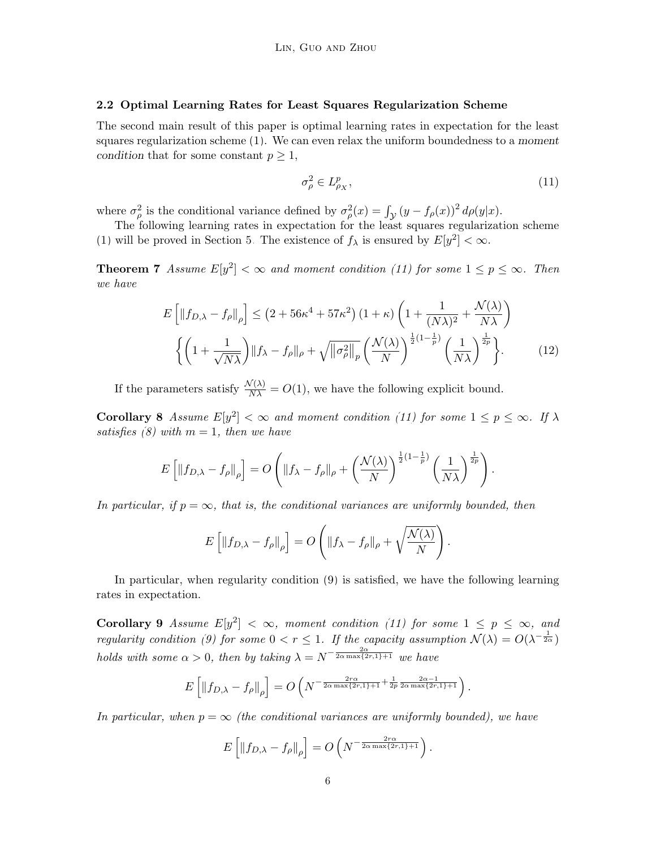#### 2.2 Optimal Learning Rates for Least Squares Regularization Scheme

The second main result of this paper is optimal learning rates in expectation for the least squares regularization scheme [\(1\)](#page-1-0). We can even relax the uniform boundedness to a moment condition that for some constant  $p \geq 1$ ,

<span id="page-5-0"></span>
$$
\sigma_{\rho}^2 \in L_{\rho_X}^p,\tag{11}
$$

where  $\sigma_{\rho}^2$  is the conditional variance defined by  $\sigma_{\rho}^2(x) = \int_{\mathcal{Y}} (y - f_{\rho}(x))^2 d\rho(y|x)$ .

The following learning rates in expectation for the least squares regularization scheme [\(1\)](#page-1-0) will be proved in Section [5.](#page-14-0) The existence of  $f_{\lambda}$  is ensured by  $E[y^2] < \infty$ .

<span id="page-5-2"></span>**Theorem 7** Assume  $E[y^2] < \infty$  and moment condition [\(11\)](#page-5-0) for some  $1 \le p \le \infty$ . Then we have

<span id="page-5-4"></span>
$$
E\left[\left\|f_{D,\lambda} - f_{\rho}\right\|_{\rho}\right] \leq \left(2 + 56\kappa^4 + 57\kappa^2\right)\left(1 + \kappa\right)\left(1 + \frac{1}{(N\lambda)^2} + \frac{\mathcal{N}(\lambda)}{N\lambda}\right)
$$

$$
\left\{\left(1 + \frac{1}{\sqrt{N\lambda}}\right)\|f_{\lambda} - f_{\rho}\|_{\rho} + \sqrt{\|\sigma_{\rho}^2\|_{p}}\left(\frac{\mathcal{N}(\lambda)}{N}\right)^{\frac{1}{2}(1 - \frac{1}{p})}\left(\frac{1}{N\lambda}\right)^{\frac{1}{2p}}\right\}.\tag{12}
$$

If the parameters satisfy  $\frac{\mathcal{N}(\lambda)}{N\lambda} = O(1)$ , we have the following explicit bound.

<span id="page-5-3"></span>**Corollary 8** Assume  $E[y^2] < \infty$  and moment condition [\(11\)](#page-5-0) for some  $1 \le p \le \infty$ . If  $\lambda$ satisfies [\(8\)](#page-3-1) with  $m = 1$ , then we have

$$
E\left[\left\|f_{D,\lambda}-f_{\rho}\right\|_{\rho}\right]=O\left(\|f_{\lambda}-f_{\rho}\|_{\rho}+\left(\frac{\mathcal{N}(\lambda)}{N}\right)^{\frac{1}{2}(1-\frac{1}{p})}\left(\frac{1}{N\lambda}\right)^{\frac{1}{2p}}\right).
$$

In particular, if  $p = \infty$ , that is, the conditional variances are uniformly bounded, then

$$
E\left[\left\|f_{D,\lambda}-f_{\rho}\right\|_{\rho}\right]=O\left(\|f_{\lambda}-f_{\rho}\|_{\rho}+\sqrt{\frac{\mathcal{N}(\lambda)}{N}}\right).
$$

In particular, when regularity condition [\(9\)](#page-4-0) is satisfied, we have the following learning rates in expectation.

<span id="page-5-1"></span>**Corollary 9** Assume  $E[y^2] < \infty$ , moment condition [\(11\)](#page-5-0) for some  $1 \leq p \leq \infty$ , and regularity condition [\(9\)](#page-4-0) for some  $0 < r \leq 1$ . If the capacity assumption  $\mathcal{N}(\lambda) = O(\lambda^{-\frac{1}{2\alpha}})$ holds with some  $\alpha > 0$ , then by taking  $\lambda = N^{-\frac{2\alpha}{2\alpha \max\{2r,1\}+1}}$  we have

$$
E\left[\|f_{D,\lambda} - f_{\rho}\|_{\rho}\right] = O\left(N^{-\frac{2r\alpha}{2\alpha \max\{2r,1\}+1} + \frac{1}{2p}\frac{2\alpha - 1}{2\alpha \max\{2r,1\}+1}}\right).
$$

In particular, when  $p = \infty$  (the conditional variances are uniformly bounded), we have

$$
E\left[\left\|f_{D,\lambda} - f_{\rho}\right\|_{\rho}\right] = O\left(N^{-\frac{2r\alpha}{2\alpha \max\{2r,1\}+1}}\right).
$$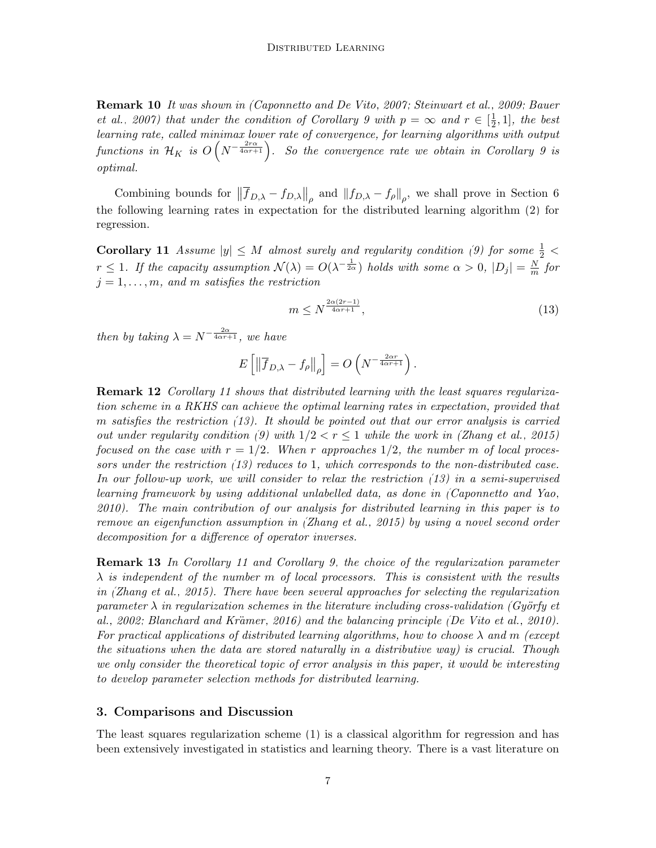Remark 10 It was shown in [\(Caponnetto and De Vito, 2007;](#page-28-4) [Steinwart et al., 2009;](#page-29-4) [Bauer](#page-27-1) [et al., 2007\)](#page-27-1) that under the condition of Corollary [9](#page-5-1) with  $p = \infty$  and  $r \in \left[\frac{1}{2}\right]$  $\frac{1}{2}$ , 1], the best learning rate, called minimax lower rate of convergence, for learning algorithms with output functions in  $\mathcal{H}_K$  is  $O\left(N^{-\frac{2r\alpha}{4\alpha r+1}}\right)$ . So the convergence rate we obtain in Corollary [9](#page-5-1) is optimal.

Combining bounds for  $\left\|\overline{f}_{D,\lambda} - f_{D,\lambda}\right\|_{\rho}$  and  $\left\|f_{D,\lambda} - f_{\rho}\right\|_{\rho}$ , we shall prove in Section [6](#page-17-0) the following learning rates in expectation for the distributed learning algorithm [\(2\)](#page-1-1) for regression.

<span id="page-6-0"></span>**Corollary 11** Assume  $|y| \leq M$  almost surely and regularity condition [\(9\)](#page-4-0) for some  $\frac{1}{2}$  <  $r \leq 1$ . If the capacity assumption  $\mathcal{N}(\lambda) = O(\lambda^{-\frac{1}{2\alpha}})$  holds with some  $\alpha > 0$ ,  $|D_j| = \frac{N}{m}$  $\frac{N}{m}$  for  $j = 1, \ldots, m$ , and m satisfies the restriction

<span id="page-6-1"></span>
$$
m \le N^{\frac{2\alpha(2r-1)}{4\alpha r + 1}},\tag{13}
$$

then by taking  $\lambda = N^{-\frac{2\alpha}{4\alpha r + 1}}$ , we have

$$
E\left[\left\|\overline{f}_{D,\lambda} - f_{\rho}\right\|_{\rho}\right] = O\left(N^{-\frac{2\alpha r}{4\alpha r + 1}}\right).
$$

**Remark 12** Corollary [11](#page-6-0) shows that distributed learning with the least squares regularization scheme in a RKHS can achieve the optimal learning rates in expectation, provided that m satisfies the restriction [\(13\)](#page-6-1). It should be pointed out that our error analysis is carried out under regularity condition [\(9\)](#page-4-0) with  $1/2 < r \le 1$  while the work in [\(Zhang et al., 2015\)](#page-30-2) focused on the case with  $r = 1/2$ . When r approaches  $1/2$ , the number m of local proces-sors under the restriction [\(13\)](#page-6-1) reduces to 1, which corresponds to the non-distributed case. In our follow-up work, we will consider to relax the restriction [\(13\)](#page-6-1) in a semi-supervised learning framework by using additional unlabelled data, as done in [\(Caponnetto and Yao,](#page-28-6) [2010\)](#page-28-6). The main contribution of our analysis for distributed learning in this paper is to remove an eigenfunction assumption in [\(Zhang et al., 2015\)](#page-30-2) by using a novel second order decomposition for a difference of operator inverses.

**Remark 13** In Corollary [11](#page-6-0) and Corollary [9,](#page-5-1) the choice of the regularization parameter  $\lambda$  is independent of the number m of local processors. This is consistent with the results in [\(Zhang et al., 2015\)](#page-30-2). There have been several approaches for selecting the regularization parameter  $\lambda$  in regularization schemes in the literature including cross-validation (Györfy et [al., 2002;](#page-28-7) Blanchard and Krämer, 2016) and the balancing principle [\(De Vito et al., 2010\)](#page-28-8). For practical applications of distributed learning algorithms, how to choose  $\lambda$  and m (except the situations when the data are stored naturally in a distributive way) is crucial. Though we only consider the theoretical topic of error analysis in this paper, it would be interesting to develop parameter selection methods for distributed learning.

## 3. Comparisons and Discussion

The least squares regularization scheme [\(1\)](#page-1-0) is a classical algorithm for regression and has been extensively investigated in statistics and learning theory. There is a vast literature on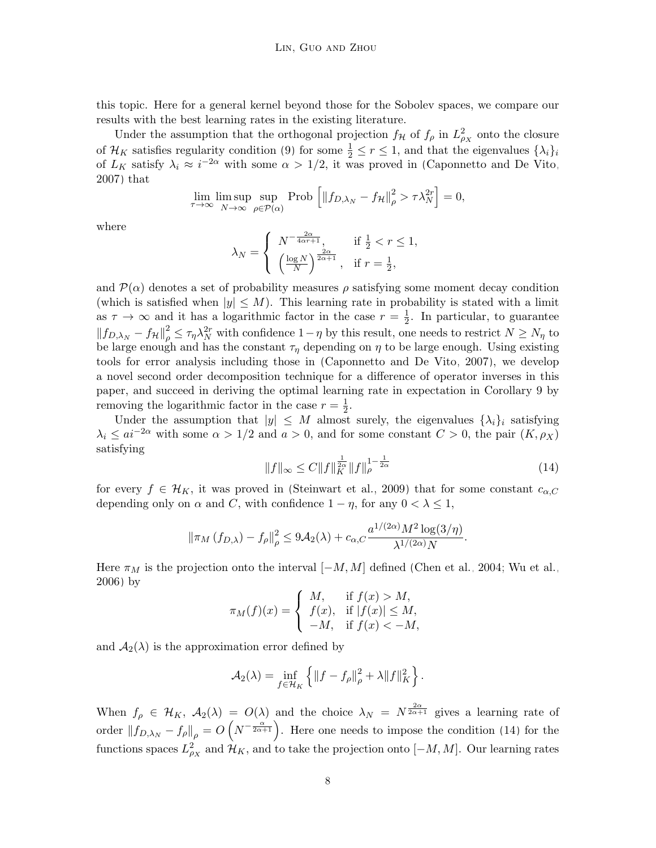this topic. Here for a general kernel beyond those for the Sobolev spaces, we compare our results with the best learning rates in the existing literature.

Under the assumption that the orthogonal projection  $f_{\mathcal{H}}$  of  $f_{\rho}$  in  $L^2_{\rho_X}$  onto the closure of  $\mathcal{H}_K$  satisfies regularity condition [\(9\)](#page-4-0) for some  $\frac{1}{2} \leq r \leq 1$ , and that the eigenvalues  $\{\lambda_i\}_i$ of  $L_K$  satisfy  $\lambda_i \approx i^{-2\alpha}$  with some  $\alpha > 1/2$ , it was proved in [\(Caponnetto and De Vito,](#page-28-4) [2007\)](#page-28-4) that

$$
\lim_{\tau \to \infty} \limsup_{N \to \infty} \sup_{\rho \in \mathcal{P}(\alpha)} \text{Prob} \left[ \|f_{D,\lambda_N} - f_{\mathcal{H}}\|_{\rho}^2 > \tau \lambda_N^{2r} \right] = 0,
$$

where

$$
\lambda_N = \begin{cases} N^{-\frac{2\alpha}{4\alpha r + 1}}, & \text{if } \frac{1}{2} < r \le 1, \\ \left(\frac{\log N}{N}\right)^{\frac{2\alpha}{2\alpha + 1}}, & \text{if } r = \frac{1}{2}, \end{cases}
$$

and  $\mathcal{P}(\alpha)$  denotes a set of probability measures  $\rho$  satisfying some moment decay condition (which is satisfied when  $|y| \leq M$ ). This learning rate in probability is stated with a limit as  $\tau \to \infty$  and it has a logarithmic factor in the case  $r = \frac{1}{2}$  $\frac{1}{2}$ . In particular, to guarantee  $||f_{D,\lambda_N} - f_{\mathcal{H}}||_{\rho}^2 \leq \tau_{\eta} \lambda_N^{2r}$  with confidence  $1-\eta$  by this result, one needs to restrict  $N \geq N_{\eta}$  to be large enough and has the constant  $\tau_{\eta}$  depending on  $\eta$  to be large enough. Using existing tools for error analysis including those in [\(Caponnetto and De Vito, 2007\)](#page-28-4), we develop a novel second order decomposition technique for a difference of operator inverses in this paper, and succeed in deriving the optimal learning rate in expectation in Corollary [9](#page-5-1) by removing the logarithmic factor in the case  $r = \frac{1}{2}$  $\frac{1}{2}$ .

Under the assumption that  $|y| \leq M$  almost surely, the eigenvalues  $\{\lambda_i\}_i$  satisfying  $\lambda_i \leq ai^{-2\alpha}$  with some  $\alpha > 1/2$  and  $a > 0$ , and for some constant  $C > 0$ , the pair  $(K, \rho_X)$ satisfying

<span id="page-7-0"></span>
$$
||f||_{\infty} \le C ||f||_{K}^{\frac{1}{2\alpha}} ||f||_{\rho}^{1-\frac{1}{2\alpha}}
$$
\n(14)

for every  $f \in \mathcal{H}_K$ , it was proved in [\(Steinwart et al., 2009\)](#page-29-4) that for some constant  $c_{\alpha,C}$ depending only on  $\alpha$  and C, with confidence  $1 - \eta$ , for any  $0 < \lambda \leq 1$ ,

$$
\left\|\pi_M\left(f_{D,\lambda}\right)-f_{\rho}\right\|_{\rho}^2 \leq 9\mathcal{A}_2(\lambda)+c_{\alpha,C}\frac{a^{1/(2\alpha)}M^2\log(3/\eta)}{\lambda^{1/(2\alpha)}N}.
$$

Here  $\pi_M$  is the projection onto the interval  $[-M, M]$  defined [\(Chen et al., 2004;](#page-28-9) [Wu et al.,](#page-30-5) [2006\)](#page-30-5) by

$$
\pi_M(f)(x) = \begin{cases} M, & \text{if } f(x) > M, \\ f(x), & \text{if } |f(x)| \le M, \\ -M, & \text{if } f(x) < -M, \end{cases}
$$

and  $A_2(\lambda)$  is the approximation error defined by

$$
\mathcal{A}_2(\lambda) = \inf_{f \in \mathcal{H}_K} \left\{ \|f - f_\rho\|_{\rho}^2 + \lambda \|f\|_{K}^2 \right\}.
$$

When  $f_{\rho} \in \mathcal{H}_K$ ,  $\mathcal{A}_2(\lambda) = O(\lambda)$  and the choice  $\lambda_N = N^{\frac{2\alpha}{2\alpha+1}}$  gives a learning rate of order  $||f_{D,\lambda_N} - f_\rho||_\rho = O(N^{-\frac{\alpha}{2\alpha+1}})$ . Here one needs to impose the condition [\(14\)](#page-7-0) for the functions spaces  $L^2_{\rho_X}$  and  $\mathcal{H}_K$ , and to take the projection onto  $[-M, M]$ . Our learning rates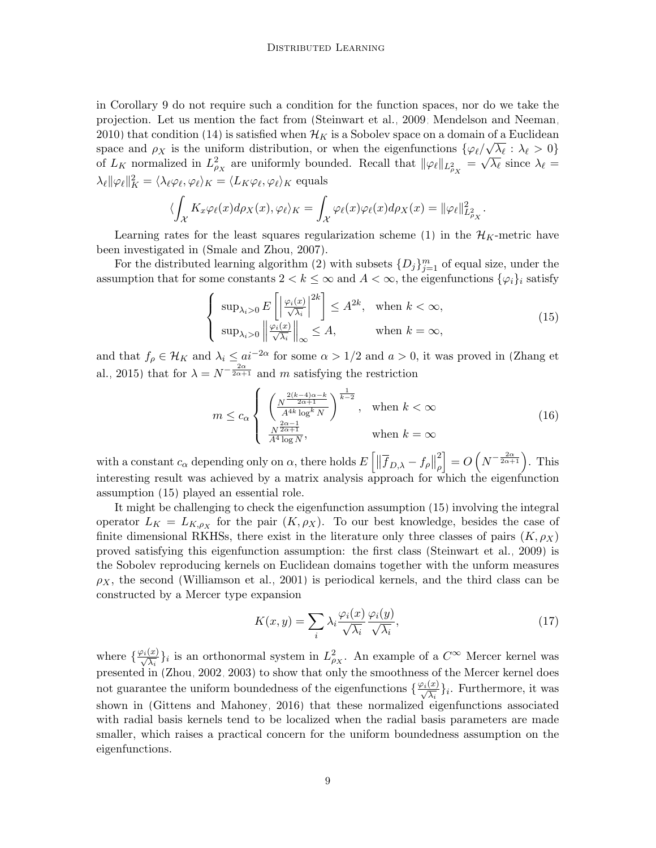in Corollary [9](#page-5-1) do not require such a condition for the function spaces, nor do we take the projection. Let us mention the fact from [\(Steinwart et al., 2009;](#page-29-4) [Mendelson and Neeman,](#page-29-7) [2010\)](#page-29-7) that condition [\(14\)](#page-7-0) is satisfied when  $\mathcal{H}_K$  is a Sobolev space on a domain of a Euclidean space and  $\rho_X$  is the uniform distribution, or when the eigenfunctions  $\{\varphi_\ell/\sqrt{\lambda_\ell} : \lambda_\ell > 0\}$ of  $L_K$  normalized in  $L^2_{\rho_X}$  are uniformly bounded. Recall that  $\|\varphi_\ell\|_{L^2_{\rho_X}} = \sqrt{\lambda_\ell}$  since  $\lambda_\ell =$  $\lambda_\ell ||\varphi_\ell||_K^2 = \langle \lambda_\ell \varphi_\ell, \varphi_\ell \rangle_K = \langle L_K \varphi_\ell, \varphi_\ell \rangle_K$  equals

$$
\langle \int_{\mathcal{X}} K_x \varphi_{\ell}(x) d\rho_X(x), \varphi_{\ell} \rangle_K = \int_{\mathcal{X}} \varphi_{\ell}(x) \varphi_{\ell}(x) d\rho_X(x) = ||\varphi_{\ell}||^2_{L^2_{\rho_X}}.
$$

Learning rates for the least squares regularization scheme [\(1\)](#page-1-0) in the  $\mathcal{H}_K$ -metric have been investigated in [\(Smale and Zhou, 2007\)](#page-29-5).

For the distributed learning algorithm [\(2\)](#page-1-1) with subsets  $\{D_j\}_{j=1}^m$  of equal size, under the assumption that for some constants  $2 < k \leq \infty$  and  $A < \infty$ , the eigenfunctions  $\{\varphi_i\}_i$  satisfy

<span id="page-8-0"></span>
$$
\begin{cases} \sup_{\lambda_i>0} E\left[\left|\frac{\varphi_i(x)}{\sqrt{\lambda_i}}\right|^{2k}\right] \le A^{2k}, & \text{when } k < \infty, \\ \sup_{\lambda_i>0} \left\|\frac{\varphi_i(x)}{\sqrt{\lambda_i}}\right\|_{\infty} \le A, & \text{when } k = \infty, \end{cases}
$$
\n(15)

and that  $f_\rho \in \mathcal{H}_K$  and  $\lambda_i \leq a^{-2\alpha}$  for some  $\alpha > 1/2$  and  $a > 0$ , it was proved in [\(Zhang et](#page-30-2) [al., 2015\)](#page-30-2) that for  $\lambda = N^{-\frac{2\alpha}{2\alpha+1}}$  and m satisfying the restriction

<span id="page-8-1"></span>
$$
m \le c_{\alpha} \begin{cases} \left(\frac{N^{\frac{2(k-4)\alpha-k}{2\alpha+1}}}{A^{4k}\log^k N}\right)^{\frac{1}{k-2}}, & \text{when } k < \infty\\ \frac{N^{\frac{2\alpha-1}{2\alpha+1}}}{A^4\log N}, & \text{when } k = \infty \end{cases}
$$
 (16)

with a constant  $c_{\alpha}$  depending only on  $\alpha$ , there holds  $E\left[\|\overline{f}_{D,\lambda} - f_{\rho}\right\|$ 2 ρ  $\Big] = O\left(N^{-\frac{2\alpha}{2\alpha+1}}\right)$ . This interesting result was achieved by a matrix analysis approach for which the eigenfunction assumption [\(15\)](#page-8-0) played an essential role.

It might be challenging to check the eigenfunction assumption [\(15\)](#page-8-0) involving the integral operator  $L_K = L_{K,\rho_X}$  for the pair  $(K,\rho_X)$ . To our best knowledge, besides the case of finite dimensional RKHSs, there exist in the literature only three classes of pairs  $(K, \rho_X)$ proved satisfying this eigenfunction assumption: the first class [\(Steinwart et al., 2009\)](#page-29-4) is the Sobolev reproducing kernels on Euclidean domains together with the unform measures  $\rho_X$ , the second [\(Williamson et al., 2001\)](#page-30-6) is periodical kernels, and the third class can be constructed by a Mercer type expansion

<span id="page-8-2"></span>
$$
K(x,y) = \sum_{i} \lambda_i \frac{\varphi_i(x)}{\sqrt{\lambda_i}} \frac{\varphi_i(y)}{\sqrt{\lambda_i}},
$$
\n(17)

where  $\{\frac{\varphi_i(x)}{\sqrt{\lambda_i}}\}_i$  is an orthonormal system in  $L^2_{\rho_X}$ . An example of a  $C^{\infty}$  Mercer kernel was presented in [\(Zhou, 2002,](#page-30-7) [2003\)](#page-30-8) to show that only the smoothness of the Mercer kernel does not guarantee the uniform boundedness of the eigenfunctions  $\{\frac{\varphi_i(x)}{\sqrt{\lambda_i}}\}_i$ . Furthermore, it was shown in [\(Gittens and Mahoney, 2016\)](#page-28-10) that these normalized eigenfunctions associated with radial basis kernels tend to be localized when the radial basis parameters are made smaller, which raises a practical concern for the uniform boundedness assumption on the eigenfunctions.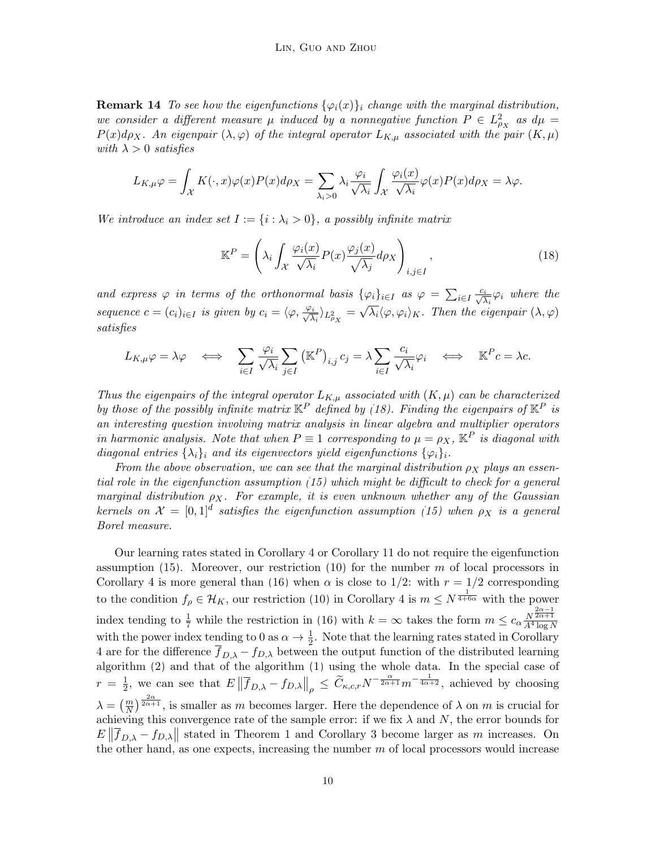**Remark 14** To see how the eigenfunctions  $\{\varphi_i(x)\}_i$  change with the marginal distribution, we consider a different measure  $\mu$  induced by a nonnegative function  $P \in L^2_{\rho_X}$  as  $d\mu =$  $P(x)d\rho_X$ . An eigenpair  $(\lambda, \varphi)$  of the integral operator  $L_{K,\mu}$  associated with the pair  $(K,\mu)$ with  $\lambda > 0$  satisfies

$$
L_{K,\mu}\varphi = \int_{\mathcal{X}} K(\cdot,x)\varphi(x)P(x)d\rho_X = \sum_{\lambda_i>0} \lambda_i \frac{\varphi_i}{\sqrt{\lambda_i}} \int_{\mathcal{X}} \frac{\varphi_i(x)}{\sqrt{\lambda_i}} \varphi(x)P(x)d\rho_X = \lambda\varphi.
$$

We introduce an index set  $I := \{i : \lambda_i > 0\}$ , a possibly infinite matrix

<span id="page-9-0"></span>
$$
\mathbb{K}^P = \left(\lambda_i \int_{\mathcal{X}} \frac{\varphi_i(x)}{\sqrt{\lambda_i}} P(x) \frac{\varphi_j(x)}{\sqrt{\lambda_j}} d\rho_X\right)_{i,j \in I},\tag{18}
$$

and express  $\varphi$  in terms of the orthonormal basis  $\{\varphi_i\}_{i\in I}$  as  $\varphi = \sum_{i\in I} \frac{c_i}{\sqrt{\lambda_i}} \varphi_i$  where the sequence  $c = (c_i)_{i \in I}$  is given by  $c_i = \langle \varphi, \frac{\varphi_i}{\sqrt{\lambda}} \rangle$  $\frac{\partial i}{\partial \lambda_i}$ ) $_{L^2_{\rho_X}} =$ √  $\overline{\lambda_i} \langle \varphi, \varphi_i \rangle_K$ . Then the eigenpair  $(\lambda, \varphi)$ satisfies

$$
L_{K,\mu}\varphi = \lambda\varphi \quad \Longleftrightarrow \quad \sum_{i \in I} \frac{\varphi_i}{\sqrt{\lambda_i}} \sum_{j \in I} (\mathbb{K}^P)_{i,j} c_j = \lambda \sum_{i \in I} \frac{c_i}{\sqrt{\lambda_i}} \varphi_i \quad \Longleftrightarrow \quad \mathbb{K}^P c = \lambda c.
$$

Thus the eigenpairs of the integral operator  $L_{K,\mu}$  associated with  $(K,\mu)$  can be characterized by those of the possibly infinite matrix  $\mathbb{K}^P$  defined by [\(18\)](#page-9-0). Finding the eigenpairs of  $\mathbb{K}^P$  is an interesting question involving matrix analysis in linear algebra and multiplier operators in harmonic analysis. Note that when  $P \equiv 1$  corresponding to  $\mu = \rho_X$ ,  $\mathbb{K}^P$  is diagonal with diagonal entries  $\{\lambda_i\}_i$  and its eigenvectors yield eigenfunctions  $\{\varphi_i\}_i$ .

From the above observation, we can see that the marginal distribution  $\rho_X$  plays an essential role in the eigenfunction assumption [\(15\)](#page-8-0) which might be difficult to check for a general marginal distribution  $\rho_X$ . For example, it is even unknown whether any of the Gaussian kernels on  $\mathcal{X} = [0,1]^d$  satisfies the eigenfunction assumption [\(15\)](#page-8-0) when  $\rho_X$  is a general Borel measure.

Our learning rates stated in Corollary [4](#page-4-1) or Corollary [11](#page-6-0) do not require the eigenfunction assumption [\(15\)](#page-8-0). Moreover, our restriction [\(10\)](#page-4-2) for the number  $m$  of local processors in Corollary [4](#page-4-1) is more general than [\(16\)](#page-8-1) when  $\alpha$  is close to 1/2: with  $r = 1/2$  corresponding to the condition  $f_{\rho} \in \mathcal{H}_K$ , our restriction [\(10\)](#page-4-2) in Corollary [4](#page-4-1) is  $m \leq N^{\frac{1}{4+6\alpha}}$  with the power index tending to  $\frac{1}{7}$  while the restriction in [\(16\)](#page-8-1) with  $k = \infty$  takes the form  $m \leq c_{\alpha} \frac{N^{\frac{2\alpha-1}{2\alpha+1}}}{A^4 \log N}$ with the power index tending to 0 as  $\alpha \to \frac{1}{2}$ . Note that the learning rates stated in Corollary [4](#page-4-1) are for the difference  $\overline{f}_{D,\lambda} - f_{D,\lambda}$  between the output function of the distributed learning algorithm [\(2\)](#page-1-1) and that of the algorithm [\(1\)](#page-1-0) using the whole data. In the special case of  $r = \frac{1}{2}$  $\frac{1}{2}$ , we can see that  $E\left\|\overline{f}_{D,\lambda} - f_{D,\lambda}\right\|_{\rho} \leq \widetilde{C}_{\kappa,c,r} N^{-\frac{\alpha}{2\alpha+1}} m^{-\frac{1}{4\alpha+2}}$ , achieved by choosing  $\lambda = \left(\frac{m}{N}\right)^{\frac{2\alpha}{2\alpha+1}}$ , is smaller as m becomes larger. Here the dependence of  $\lambda$  on m is crucial for achieving this convergence rate of the sample error: if we fix  $\lambda$  and N, the error bounds for  $E\left\|\overline{f}_{D,\lambda} - f_{D,\lambda}\right\|$  stated in Theorem [1](#page-2-0) and Corollary [3](#page-3-2) become larger as m increases. On the other hand, as one expects, increasing the number  $m$  of local processors would increase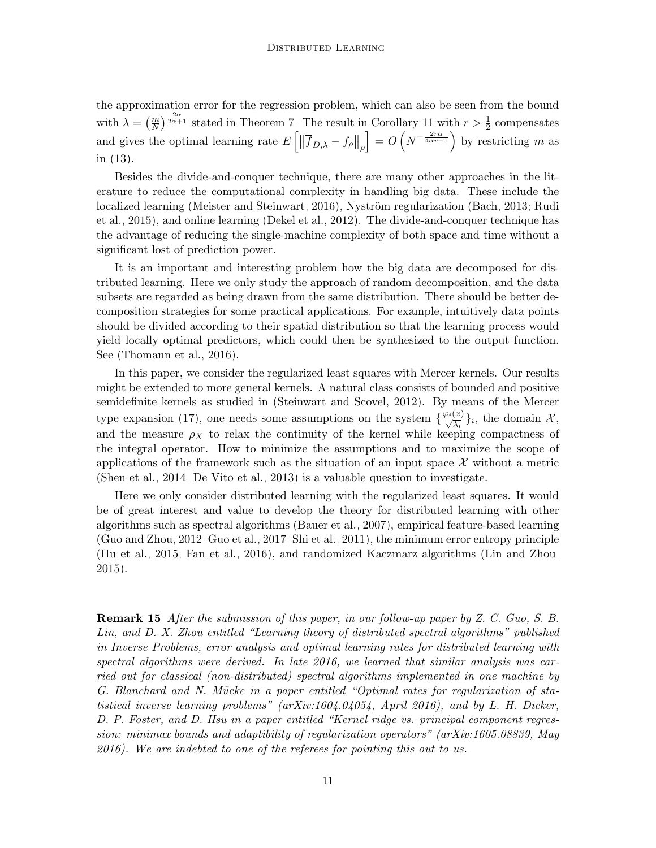the approximation error for the regression problem, which can also be seen from the bound with  $\lambda = \left(\frac{m}{N}\right)^{\frac{2\alpha}{2\alpha+1}}$  stated in Theorem [7.](#page-5-2) The result in Corollary [11](#page-6-0) with  $r > \frac{1}{2}$  compensates and gives the optimal learning rate  $E\left[\left\|\overline{f}_{D,\lambda} - f_{\rho}\right\|_{\rho}\right]$  $\Big] = O\left(N^{-\frac{2r\alpha}{4\alpha r+1}}\right)$  by restricting m as in [\(13\)](#page-6-1).

Besides the divide-and-conquer technique, there are many other approaches in the literature to reduce the computational complexity in handling big data. These include the localized learning [\(Meister and Steinwart, 2016\)](#page-29-8), Nyström regularization [\(Bach, 2013;](#page-27-0) [Rudi](#page-29-9) [et al., 2015\)](#page-29-9), and online learning [\(Dekel et al., 2012\)](#page-28-11). The divide-and-conquer technique has the advantage of reducing the single-machine complexity of both space and time without a significant lost of prediction power.

It is an important and interesting problem how the big data are decomposed for distributed learning. Here we only study the approach of random decomposition, and the data subsets are regarded as being drawn from the same distribution. There should be better decomposition strategies for some practical applications. For example, intuitively data points should be divided according to their spatial distribution so that the learning process would yield locally optimal predictors, which could then be synthesized to the output function. See [\(Thomann et al., 2016\)](#page-29-10).

In this paper, we consider the regularized least squares with Mercer kernels. Our results might be extended to more general kernels. A natural class consists of bounded and positive semidefinite kernels as studied in [\(Steinwart and Scovel, 2012\)](#page-29-11). By means of the Mercer type expansion [\(17\)](#page-8-2), one needs some assumptions on the system  $\{\frac{\varphi_i(x)}{\sqrt{\lambda_i}}\}_i$ , the domain  $\mathcal{X},$ and the measure  $\rho_X$  to relax the continuity of the kernel while keeping compactness of the integral operator. How to minimize the assumptions and to maximize the scope of applications of the framework such as the situation of an input space  $\mathcal X$  without a metric [\(Shen et al., 2014;](#page-29-12) [De Vito et al., 2013\)](#page-28-12) is a valuable question to investigate.

Here we only consider distributed learning with the regularized least squares. It would be of great interest and value to develop the theory for distributed learning with other algorithms such as spectral algorithms [\(Bauer et al., 2007\)](#page-27-1), empirical feature-based learning [\(Guo and Zhou, 2012;](#page-28-13) [Guo et al., 2017;](#page-28-14) [Shi et al., 2011\)](#page-29-13), the minimum error entropy principle [\(Hu et al., 2015;](#page-28-15) [Fan et al., 2016\)](#page-28-16), and randomized Kaczmarz algorithms [\(Lin and Zhou,](#page-29-14) [2015\)](#page-29-14).

Remark 15 After the submission of this paper, in our follow-up paper by Z. C. Guo, S. B. Lin, and D. X. Zhou entitled "Learning theory of distributed spectral algorithms" published in Inverse Problems, error analysis and optimal learning rates for distributed learning with spectral algorithms were derived. In late 2016, we learned that similar analysis was carried out for classical (non-distributed) spectral algorithms implemented in one machine by G. Blanchard and N. Mücke in a paper entitled "Optimal rates for regularization of statistical inverse learning problems" (arXiv:1604.04054, April 2016), and by L. H. Dicker, D. P. Foster, and D. Hsu in a paper entitled "Kernel ridge vs. principal component regression: minimax bounds and adaptibility of regularization operators" (arXiv:1605.08839, May 2016). We are indebted to one of the referees for pointing this out to us.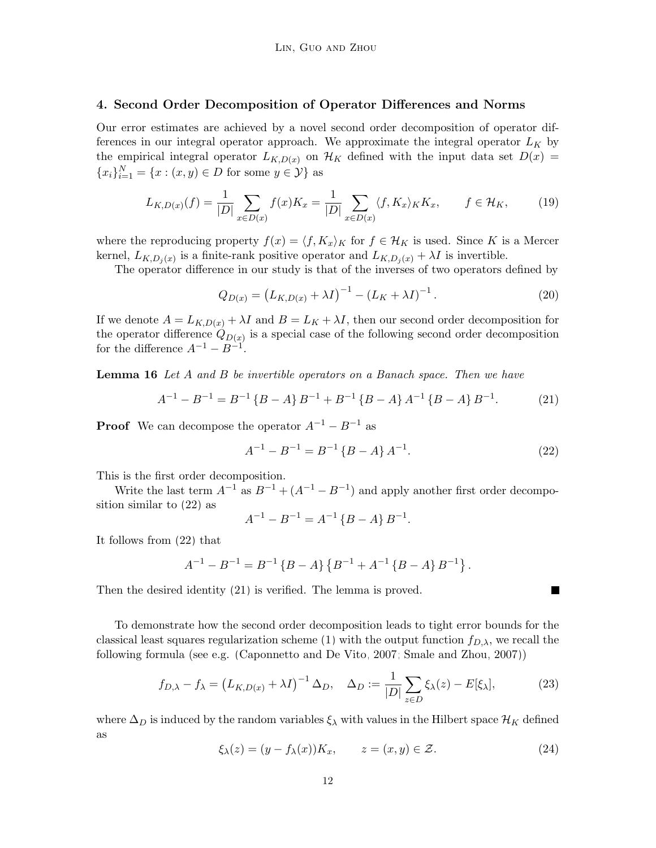## 4. Second Order Decomposition of Operator Differences and Norms

Our error estimates are achieved by a novel second order decomposition of operator differences in our integral operator approach. We approximate the integral operator  $L_K$  by the empirical integral operator  $L_{K,D(x)}$  on  $\mathcal{H}_K$  defined with the input data set  $D(x)$  =  ${x_i}_{i=1}^N = {x : (x, y) \in D \text{ for some } y \in Y}$  as

$$
L_{K,D(x)}(f) = \frac{1}{|D|} \sum_{x \in D(x)} f(x) K_x = \frac{1}{|D|} \sum_{x \in D(x)} \langle f, K_x \rangle_K K_x, \qquad f \in \mathcal{H}_K,\tag{19}
$$

where the reproducing property  $f(x) = \langle f, K_x \rangle_K$  for  $f \in \mathcal{H}_K$  is used. Since K is a Mercer kernel,  $L_{K,D_j(x)}$  is a finite-rank positive operator and  $L_{K,D_j(x)} + \lambda I$  is invertible.

The operator difference in our study is that of the inverses of two operators defined by

$$
Q_{D(x)} = (L_{K,D(x)} + \lambda I)^{-1} - (L_K + \lambda I)^{-1}.
$$
 (20)

If we denote  $A = L_{K,D(x)} + \lambda I$  and  $B = L_K + \lambda I$ , then our second order decomposition for the operator difference  $Q_{D(x)}$  is a special case of the following second order decomposition for the difference  $A^{-1} - B^{-1}$ .

**Lemma 16** Let A and B be invertible operators on a Banach space. Then we have

<span id="page-11-1"></span>
$$
A^{-1} - B^{-1} = B^{-1} \{ B - A \} B^{-1} + B^{-1} \{ B - A \} A^{-1} \{ B - A \} B^{-1}.
$$
 (21)

**Proof** We can decompose the operator  $A^{-1} - B^{-1}$  as

<span id="page-11-0"></span>
$$
A^{-1} - B^{-1} = B^{-1} \{ B - A \} A^{-1}.
$$
 (22)

П

This is the first order decomposition.

Write the last term  $A^{-1}$  as  $B^{-1} + (A^{-1} - B^{-1})$  and apply another first order decomposition similar to [\(22\)](#page-11-0) as

$$
A^{-1} - B^{-1} = A^{-1} \{ B - A \} B^{-1}.
$$

It follows from [\(22\)](#page-11-0) that

$$
A^{-1} - B^{-1} = B^{-1} \{ B - A \} \{ B^{-1} + A^{-1} \{ B - A \} B^{-1} \}.
$$

Then the desired identity [\(21\)](#page-11-1) is verified. The lemma is proved.

To demonstrate how the second order decomposition leads to tight error bounds for the classical least squares regularization scheme [\(1\)](#page-1-0) with the output function  $f_{D,\lambda}$ , we recall the following formula (see e.g. [\(Caponnetto and De Vito, 2007;](#page-28-4) [Smale and Zhou, 2007\)](#page-29-5))

<span id="page-11-2"></span>
$$
f_{D,\lambda} - f_{\lambda} = \left( L_{K,D(x)} + \lambda I \right)^{-1} \Delta_D, \quad \Delta_D := \frac{1}{|D|} \sum_{z \in D} \xi_{\lambda}(z) - E[\xi_{\lambda}], \tag{23}
$$

where  $\Delta_D$  is induced by the random variables  $\xi_{\lambda}$  with values in the Hilbert space  $\mathcal{H}_K$  defined as

$$
\xi_{\lambda}(z) = (y - f_{\lambda}(x))K_x, \qquad z = (x, y) \in \mathcal{Z}.
$$
 (24)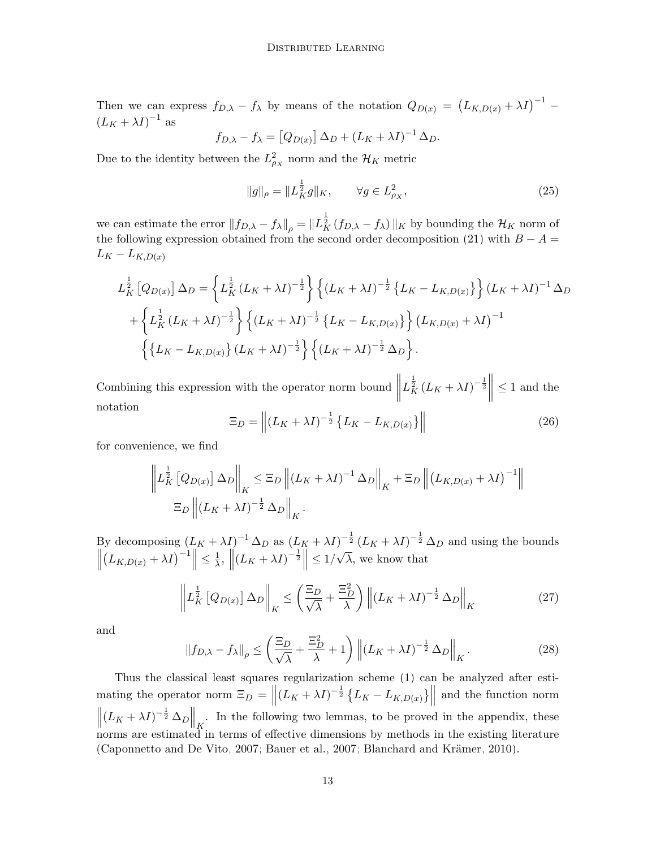Then we can express  $f_{D,\lambda} - f_{\lambda}$  by means of the notation  $Q_{D(x)} = (L_{K,D(x)} + \lambda I)^{-1}$  $(L_K + \lambda I)^{-1}$  as

$$
f_{D,\lambda} - f_{\lambda} = [Q_{D(x)}] \Delta_D + (L_K + \lambda I)^{-1} \Delta_D.
$$

Due to the identity between the  $L_{\rho_X}^2$  norm and the  $\mathcal{H}_K$  metric

$$
||g||_{\rho} = ||L_K^{\frac{1}{2}}g||_K, \qquad \forall g \in L_{\rho_X}^2,
$$
\n(25)

we can estimate the error  $||f_{D,\lambda} - f_{\lambda}||_{\rho} = ||L_K^{\frac{1}{2}}(f_{D,\lambda} - f_{\lambda})||_K$  by bounding the  $\mathcal{H}_K$  norm of the following expression obtained from the second order decomposition [\(21\)](#page-11-1) with  $B - A =$  $L_K - L_{K,D(x)}$ 

$$
L_K^{\frac{1}{2}}[Q_{D(x)}] \Delta_D = \left\{ L_K^{\frac{1}{2}} (L_K + \lambda I)^{-\frac{1}{2}} \right\} \left\{ (L_K + \lambda I)^{-\frac{1}{2}} \{L_K - L_{K,D(x)} \} \right\} (L_K + \lambda I)^{-1} \Delta_D + \left\{ L_K^{\frac{1}{2}} (L_K + \lambda I)^{-\frac{1}{2}} \right\} \left\{ (L_K + \lambda I)^{-\frac{1}{2}} \{L_K - L_{K,D(x)} \} \right\} (L_{K,D(x)} + \lambda I)^{-1} \left\{ \{L_K - L_{K,D(x)} \} (L_K + \lambda I)^{-\frac{1}{2}} \right\} \left\{ (L_K + \lambda I)^{-\frac{1}{2}} \Delta_D \right\}.
$$

Combining this expression with the operator norm bound  $\parallel$  $L_K^{\frac{1}{2}} (L_K + \lambda I)^{-\frac{1}{2}}$  $\leq 1$  and the notation

$$
\Xi_D = \left\| (L_K + \lambda I)^{-\frac{1}{2}} \left\{ L_K - L_{K,D(x)} \right\} \right\| \tag{26}
$$

for convenience, we find

$$
\left\| L_K^{\frac{1}{2}} \left[ Q_{D(x)} \right] \Delta_D \right\|_K \leq \Xi_D \left\| (L_K + \lambda I)^{-1} \Delta_D \right\|_K + \Xi_D \left\| (L_{K,D(x)} + \lambda I)^{-1} \right\|
$$
  

$$
\Xi_D \left\| (L_K + \lambda I)^{-\frac{1}{2}} \Delta_D \right\|_K.
$$

By decomposing  $(L_K + \lambda I)^{-1} \Delta_D$  as  $(L_K + \lambda I)^{-\frac{1}{2}} (L_K + \lambda I)^{-\frac{1}{2}} \Delta_D$  and using the bounds  $\begin{array}{c} \hline \end{array}$  $(L_{K,D(x)} + \lambda I)^{-1} \leq \frac{1}{\lambda}$  $\frac{1}{\lambda}, \|(L_K + \lambda I)^{-\frac{1}{2}}\| \leq 1/$ √  $\lambda$ , we know that

<span id="page-12-2"></span>
$$
\left\| L_K^{\frac{1}{2}} \left[ Q_{D(x)} \right] \Delta_D \right\|_K \le \left( \frac{\Xi_D}{\sqrt{\lambda}} + \frac{\Xi_D^2}{\lambda} \right) \left\| (L_K + \lambda I)^{-\frac{1}{2}} \Delta_D \right\|_K \tag{27}
$$

and

<span id="page-12-0"></span>
$$
||f_{D,\lambda} - f_{\lambda}||_{\rho} \le \left(\frac{\Xi_D}{\sqrt{\lambda}} + \frac{\Xi_D^2}{\lambda} + 1\right) \left\| (L_K + \lambda I)^{-\frac{1}{2}} \Delta_D \right\|_K.
$$
 (28)

<span id="page-12-1"></span>Thus the classical least squares regularization scheme [\(1\)](#page-1-0) can be analyzed after estimating the operator norm  $\Xi_D = ||(L_K + \lambda I)^{-\frac{1}{2}} \{L_K - L_{K,D(x)}\}||$ and the function norm  $\left\| (L_K + \lambda I)^{-\frac{1}{2}} \Delta_D \right\|_K$ . In the following two lemmas, to be proved in the appendix, these norms are estimated in terms of effective dimensions by methods in the existing literature  $(Ca$ ponnetto and De Vito, 2007; [Bauer et al., 2007;](#page-27-1) Blanchard and Krämer, 2010).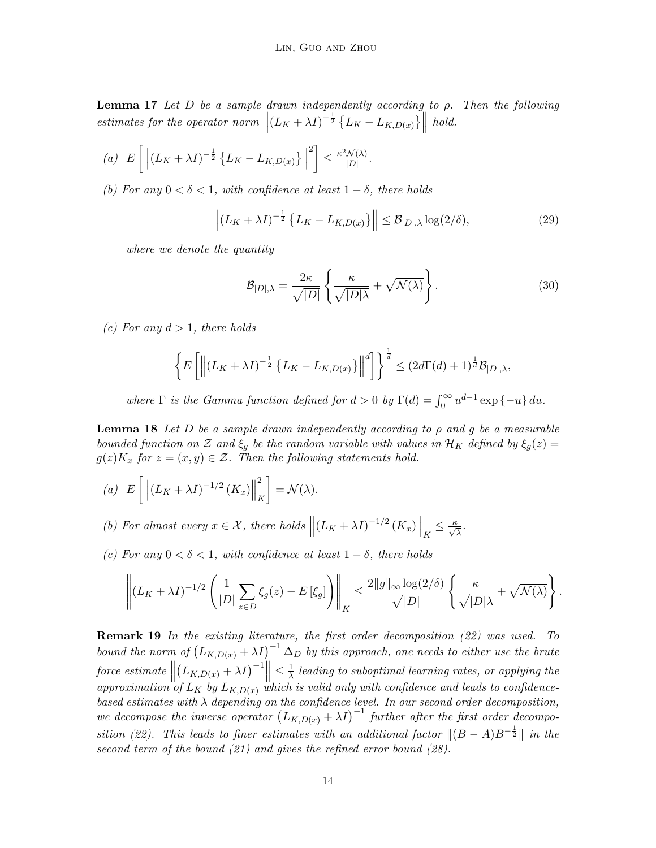**Lemma 17** Let D be a sample drawn independently according to  $\rho$ . Then the following estimates for the operator norm  $\left\| (L_K + \lambda I)^{-\frac{1}{2}} \left\{ L_K - L_{K,D(x)} \right\} \right\|$ hold.

(a) 
$$
E\left[\left\|(L_K + \lambda I)^{-\frac{1}{2}}\left\{L_K - L_{K,D(x)}\right\}\right\|^2\right] \le \frac{\kappa^2 \mathcal{N}(\lambda)}{|D|}.
$$

(b) For any  $0 < \delta < 1$ , with confidence at least  $1 - \delta$ , there holds

<span id="page-13-1"></span>
$$
\left\| \left( L_K + \lambda I \right)^{-\frac{1}{2}} \left\{ L_K - L_{K,D(x)} \right\} \right\| \leq \mathcal{B}_{|D|,\lambda} \log(2/\delta), \tag{29}
$$

where we denote the quantity

<span id="page-13-2"></span>
$$
\mathcal{B}_{|D|,\lambda} = \frac{2\kappa}{\sqrt{|D|}} \left\{ \frac{\kappa}{\sqrt{|D|\lambda}} + \sqrt{\mathcal{N}(\lambda)} \right\}.
$$
 (30)

(c) For any  $d > 1$ , there holds

$$
\left\{ E\left[ \left\| (L_K + \lambda I)^{-\frac{1}{2}} \left\{ L_K - L_{K,D(x)} \right\} \right\|^d \right] \right\}^{\frac{1}{d}} \leq (2d\Gamma(d) + 1)^{\frac{1}{d}} \mathcal{B}_{|D|,\lambda},
$$

where  $\Gamma$  is the Gamma function defined for  $d > 0$  by  $\Gamma(d) = \int_0^\infty u^{d-1} \exp\{-u\} du$ .

<span id="page-13-0"></span>**Lemma 18** Let D be a sample drawn independently according to  $\rho$  and  $g$  be a measurable bounded function on Z and  $\xi_q$  be the random variable with values in  $\mathcal{H}_K$  defined by  $\xi_q(z)$  $g(z)K_x$  for  $z=(x,y)\in\mathcal{Z}$ . Then the following statements hold.

- (a)  $E\left[\left\|\left(L_K+\lambda I\right)^{-1/2}\left(K_x\right)\right\| \right]$ 2 K  $\Big] = \mathcal{N} (\lambda).$
- (b) For almost every  $x \in \mathcal{X}$ , there holds  $\left\| (L_K + \lambda I)^{-1/2} (K_x) \right\|_K \leq \frac{\kappa}{\sqrt{\lambda}}$ .
- (c) For any  $0 < \delta < 1$ , with confidence at least  $1 \delta$ , there holds

$$
\left\| \left(L_K + \lambda I\right)^{-1/2} \left(\frac{1}{|D|} \sum_{z \in D} \xi_g(z) - E\left[\xi_g\right] \right) \right\|_K \leq \frac{2\|g\|_{\infty} \log(2/\delta)}{\sqrt{|D|}} \left\{ \frac{\kappa}{\sqrt{|D|\lambda}} + \sqrt{\mathcal{N}(\lambda)} \right\}.
$$

**Remark 19** In the existing literature, the first order decomposition  $(22)$  was used. To bound the norm of  $(L_{K,D(x)} + \lambda I)^{-1} \Delta_D$  by this approach, one needs to either use the brute  $force\; estimate \parallel$  $\left( L_{K,D(x)} + \lambda I \right)^{-1} \leq \frac{1}{\lambda}$  $\frac{1}{\lambda}$  leading to suboptimal learning rates, or applying the approximation of  $L_K$  by  $L_{K,D(x)}$  which is valid only with confidence and leads to confidencebased estimates with  $\lambda$  depending on the confidence level. In our second order decomposition, we decompose the inverse operator  $(L_{K,D(x)} + \lambda I)^{-1}$  further after the first order decompo-sition [\(22\)](#page-11-0). This leads to finer estimates with an additional factor  $\|(B - A)B^{-\frac{1}{2}}\|$  in the second term of the bound [\(21\)](#page-11-1) and gives the refined error bound [\(28\)](#page-12-0).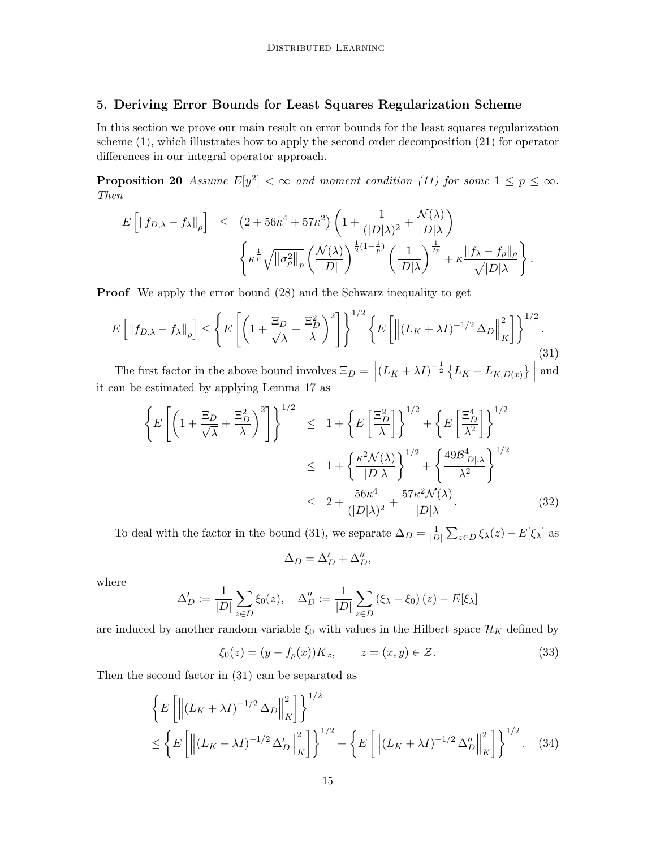# <span id="page-14-0"></span>5. Deriving Error Bounds for Least Squares Regularization Scheme

In this section we prove our main result on error bounds for the least squares regularization scheme [\(1\)](#page-1-0), which illustrates how to apply the second order decomposition [\(21\)](#page-11-1) for operator differences in our integral operator approach.

<span id="page-14-4"></span>**Proposition 20** Assume  $E[y^2] < \infty$  and moment condition [\(11\)](#page-5-0) for some  $1 \le p \le \infty$ . Then

$$
E\left[\|f_{D,\lambda} - f_{\lambda}\|_{\rho}\right] \leq (2 + 56\kappa^4 + 57\kappa^2) \left(1 + \frac{1}{(|D|\lambda)^2} + \frac{\mathcal{N}(\lambda)}{|D|\lambda}\right)
$$

$$
\left\{\kappa^{\frac{1}{p}}\sqrt{\|\sigma_{\rho}^2\|_p} \left(\frac{\mathcal{N}(\lambda)}{|D|}\right)^{\frac{1}{2}(1-\frac{1}{p})} \left(\frac{1}{|D|\lambda}\right)^{\frac{1}{2p}} + \kappa \frac{\|f_{\lambda} - f_{\rho}\|_{\rho}}{\sqrt{|D|\lambda}}\right\}.
$$

**Proof** We apply the error bound  $(28)$  and the Schwarz inequality to get

<span id="page-14-1"></span>
$$
E\left[\left\|f_{D,\lambda} - f_{\lambda}\right\|_{\rho}\right] \le \left\{E\left[\left(1 + \frac{\Xi_D}{\sqrt{\lambda}} + \frac{\Xi_D^2}{\lambda}\right)^2\right]\right\}^{1/2} \left\{E\left[\left\|\left(L_K + \lambda I\right)^{-1/2} \Delta_D\right\|_K^2\right]\right\}^{1/2}.\tag{31}
$$

The first factor in the above bound involves  $\Xi_D = ||(L_K + \lambda I)^{-\frac{1}{2}} \{L_K - L_{K,D(x)}\}||$ and it can be estimated by applying Lemma [17](#page-12-1) as

<span id="page-14-3"></span>
$$
\left\{ E\left[ \left( 1 + \frac{\Xi_D}{\sqrt{\lambda}} + \frac{\Xi_D^2}{\lambda} \right)^2 \right] \right\}^{1/2} \leq 1 + \left\{ E\left[ \frac{\Xi_D^2}{\lambda} \right] \right\}^{1/2} + \left\{ E\left[ \frac{\Xi_D^4}{\lambda^2} \right] \right\}^{1/2}
$$

$$
\leq 1 + \left\{ \frac{\kappa^2 \mathcal{N}(\lambda)}{|D|\lambda} \right\}^{1/2} + \left\{ \frac{49\mathcal{B}_{|D|\lambda}^4}{\lambda^2} \right\}^{1/2}
$$

$$
\leq 2 + \frac{56\kappa^4}{(|D|\lambda)^2} + \frac{57\kappa^2 \mathcal{N}(\lambda)}{|D|\lambda}.
$$
 (32)

To deal with the factor in the bound [\(31\)](#page-14-1), we separate  $\Delta_D = \frac{1}{|L|}$  $\frac{1}{|D|}\sum_{z\in D}\xi_{\lambda}(z)-E[\xi_{\lambda}]$  as

$$
\Delta_D = \Delta_D' + \Delta_D'',
$$

where

$$
\Delta'_{D} := \frac{1}{|D|} \sum_{z \in D} \xi_{0}(z), \quad \Delta''_{D} := \frac{1}{|D|} \sum_{z \in D} (\xi_{\lambda} - \xi_{0})(z) - E[\xi_{\lambda}]
$$

are induced by another random variable  $\xi_0$  with values in the Hilbert space  $\mathcal{H}_K$  defined by

$$
\xi_0(z) = (y - f_\rho(x))K_x, \qquad z = (x, y) \in \mathcal{Z}.
$$
\n(33)

Then the second factor in [\(31\)](#page-14-1) can be separated as

<span id="page-14-2"></span>
$$
\left\{ E\left[ \left\| (L_K + \lambda I)^{-1/2} \Delta_D \right\|_K^2 \right] \right\}^{1/2} \n\le \left\{ E\left[ \left\| (L_K + \lambda I)^{-1/2} \Delta_D' \right\|_K^2 \right] \right\}^{1/2} + \left\{ E\left[ \left\| (L_K + \lambda I)^{-1/2} \Delta_D'' \right\|_K^2 \right] \right\}^{1/2}.
$$
\n(34)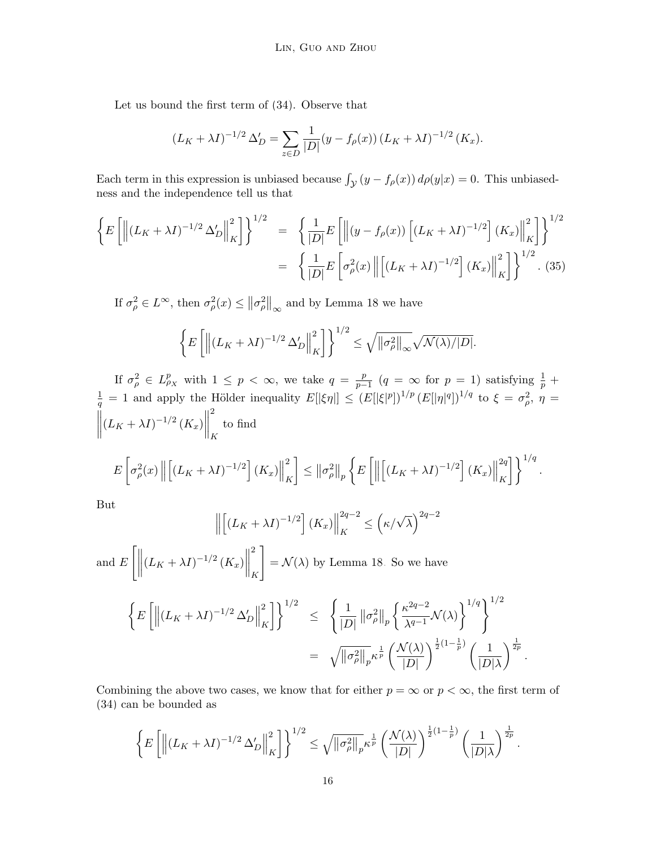Let us bound the first term of [\(34\)](#page-14-2). Observe that

$$
(L_K + \lambda I)^{-1/2} \Delta'_D = \sum_{z \in D} \frac{1}{|D|} (y - f_{\rho}(x)) (L_K + \lambda I)^{-1/2} (K_x).
$$

Each term in this expression is unbiased because  $\int_{\mathcal{Y}} (y - f_{\rho}(x)) d\rho(y|x) = 0$ . This unbiasedness and the independence tell us that

$$
\left\{ E\left[ \left\| \left(L_K + \lambda I\right)^{-1/2} \Delta'_D \right\|_K^2 \right] \right\}^{1/2} = \left\{ \frac{1}{|D|} E\left[ \left\| \left(y - f_\rho(x)\right) \left[ \left(L_K + \lambda I\right)^{-1/2} \right] \left(K_x\right) \right\|_K^2 \right] \right\}^{1/2} \n= \left\{ \frac{1}{|D|} E\left[ \sigma_\rho^2(x) \left\| \left[ \left(L_K + \lambda I\right)^{-1/2} \right] \left(K_x\right) \right\|_K^2 \right] \right\}^{1/2} . \tag{35}
$$

If  $\sigma_{\rho}^2 \in L^{\infty}$ , then  $\sigma_{\rho}^2(x) \leq ||\sigma_{\rho}^2||_{\infty}$  and by Lemma [18](#page-13-0) we have

$$
\left\{ E\left[ \left\| \left( L_K + \lambda I \right)^{-1/2} \Delta'_D \right\|_K^2 \right] \right\}^{1/2} \le \sqrt{\left\| \sigma_\rho^2 \right\|_\infty} \sqrt{\mathcal{N}(\lambda)/|D|}.
$$

If  $\sigma_{\rho}^2 \in L_{\rho_X}^p$  with  $1 \leq p < \infty$ , we take  $q = \frac{p}{p-1}$  $\frac{p}{p-1}$  (q =  $\infty$  for p = 1) satisfying  $\frac{1}{p}$  +  $\frac{1}{q} = 1$  and apply the Hölder inequality  $E[|\xi\eta|] \le (E[|\xi|^p])^{1/p} (E[|\eta|^q])^{1/q}$  to  $\xi = \sigma_\rho^2$ ,  $\eta =$  $\begin{array}{c} \hline \end{array}$  $(L_K + \lambda I)^{-1/2} (K_x)$ 2 K to find

$$
E\left[\sigma_{\rho}^{2}(x)\left\|\left[\left(L_{K} + \lambda I\right)^{-1/2}\right](K_{x})\right\|_{K}^{2}\right] \leq \left\|\sigma_{\rho}^{2}\right\|_{p} \left\{E\left[\left\|\left[\left(L_{K} + \lambda I\right)^{-1/2}\right](K_{x})\right\|_{K}^{2q}\right]\right\}^{1/q}
$$

.

But

$$
\left\| \left[ \left( L_K + \lambda I \right)^{-1/2} \right] \left( K_x \right) \right\|_K^{2q-2} \le \left( \kappa / \sqrt{\lambda} \right)^{2q-2}
$$

and  $E\left[\Vert\right]$  $(L_K + \lambda I)^{-1/2} (K_x)$ 2 K 1  $=\mathcal{N}(\lambda)$  by Lemma [18.](#page-13-0) So we have

$$
\left\{ E\left[ \left\| (L_K + \lambda I)^{-1/2} \Delta'_D \right\|_K^2 \right] \right\}^{1/2} \leq \left\{ \frac{1}{|D|} \left\| \sigma_\rho^2 \right\|_p \left\{ \frac{\kappa^{2q-2}}{\lambda^{q-1}} \mathcal{N}(\lambda) \right\}^{1/q} \right\}^{1/2}
$$
  

$$
= \sqrt{\left\| \sigma_\rho^2 \right\|_p} \kappa^{\frac{1}{p}} \left( \frac{\mathcal{N}(\lambda)}{|D|} \right)^{\frac{1}{2}(1-\frac{1}{p})} \left( \frac{1}{|D|\lambda} \right)^{\frac{1}{2p}}.
$$

Combining the above two cases, we know that for either  $p = \infty$  or  $p < \infty$ , the first term of [\(34\)](#page-14-2) can be bounded as

$$
\left\{E\left[\left\|\left(L_K+\lambda I\right)^{-1/2}\Delta'_D\right\|_K^2\right]\right\}^{1/2}\leq\sqrt{\left\|\sigma_\rho^2\right\|_p}\kappa^{\frac{1}{p}}\left(\frac{\mathcal{N}(\lambda)}{|D|}\right)^{\frac{1}{2}\left(1-\frac{1}{p}\right)}\left(\frac{1}{|D|\lambda}\right)^{\frac{1}{2p}}.
$$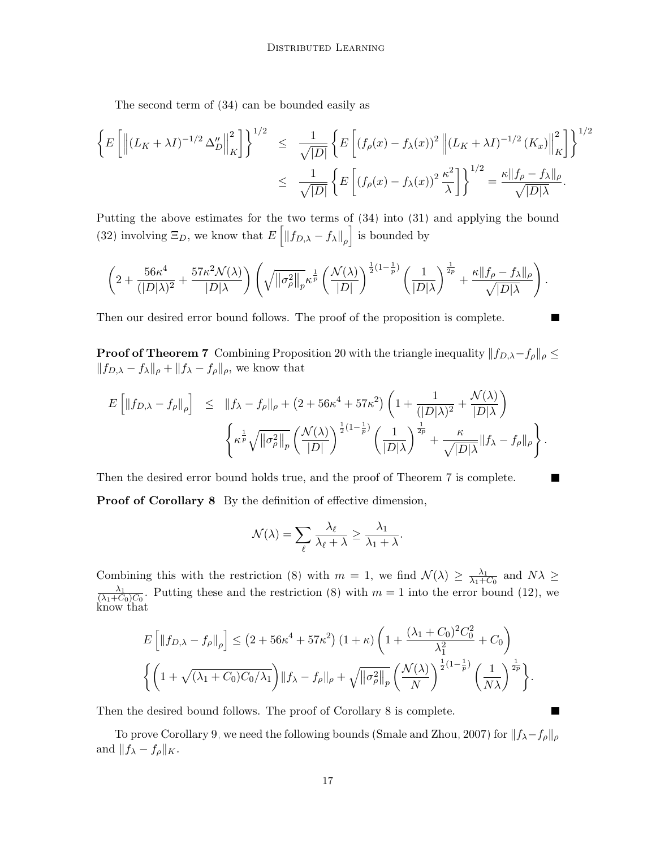The second term of [\(34\)](#page-14-2) can be bounded easily as

$$
\left\{ E\left[ \left\| (L_K + \lambda I)^{-1/2} \Delta_D'' \right\|_K^2 \right] \right\}^{1/2} \leq \frac{1}{\sqrt{|D|}} \left\{ E\left[ (f_\rho(x) - f_\lambda(x))^2 \left\| (L_K + \lambda I)^{-1/2} (K_x) \right\|_K^2 \right] \right\}^{1/2}
$$

$$
\leq \frac{1}{\sqrt{|D|}} \left\{ E\left[ (f_\rho(x) - f_\lambda(x))^2 \frac{\kappa^2}{\lambda} \right] \right\}^{1/2} = \frac{\kappa \| f_\rho - f_\lambda \|_\rho}{\sqrt{|D| \lambda}}.
$$

Putting the above estimates for the two terms of [\(34\)](#page-14-2) into [\(31\)](#page-14-1) and applying the bound [\(32\)](#page-14-3) involving  $\Xi_D$ , we know that  $E\left[\|f_{D,\lambda} - f_\lambda\|_\rho\right]$  is bounded by

$$
\left(2+\frac{56\kappa^4}{(|D|\lambda)^2}+\frac{57\kappa^2\mathcal{N}(\lambda)}{|D|\lambda}\right)\left(\sqrt{\left\|\sigma_{\rho}^2\right\|_p}\kappa^{\frac{1}{p}}\left(\frac{\mathcal{N}(\lambda)}{|D|}\right)^{\frac{1}{2}\left(1-\frac{1}{p}\right)}\left(\frac{1}{|D|\lambda}\right)^{\frac{1}{2p}}+\frac{\kappa\|f_{\rho}-f_{\lambda}\|_{\rho}}{\sqrt{|D|\lambda}}\right).
$$

П

Then our desired error bound follows. The proof of the proposition is complete.

**Proof of Theorem [7](#page-5-2)** Combining Proposition [20](#page-14-4) with the triangle inequality  $||f_{D,\lambda}-f_{\rho}||_{\rho} \le$  $||f_{D,\lambda} - f_{\lambda}||_{\rho} + ||f_{\lambda} - f_{\rho}||_{\rho}$ , we know that

$$
E\left[\|f_{D,\lambda} - f_{\rho}\|_{\rho}\right] \leq \|f_{\lambda} - f_{\rho}\|_{\rho} + (2 + 56\kappa^{4} + 57\kappa^{2})\left(1 + \frac{1}{(|D|\lambda)^{2}} + \frac{\mathcal{N}(\lambda)}{|D|\lambda}\right)
$$

$$
\left\{\kappa^{\frac{1}{p}}\sqrt{\|\sigma_{\rho}^{2}\|_{p}}\left(\frac{\mathcal{N}(\lambda)}{|D|}\right)^{\frac{1}{2}(1-\frac{1}{p})}\left(\frac{1}{|D|\lambda}\right)^{\frac{1}{2p}} + \frac{\kappa}{\sqrt{|D|\lambda}}\|f_{\lambda} - f_{\rho}\|_{\rho}\right\}.
$$

Then the desired error bound holds true, and the proof of Theorem [7](#page-5-2) is complete.

Proof of Corollary [8](#page-5-3) By the definition of effective dimension,

$$
\mathcal{N}(\lambda) = \sum_{\ell} \frac{\lambda_{\ell}}{\lambda_{\ell} + \lambda} \ge \frac{\lambda_1}{\lambda_1 + \lambda}.
$$

Combining this with the restriction [\(8\)](#page-3-1) with  $m = 1$ , we find  $\mathcal{N}(\lambda) \geq \frac{\lambda_1}{\lambda_1 + \lambda_2}$  $\frac{\lambda_1}{\lambda_1+C_0}$  and  $N\lambda \geq$  $\lambda_1$  $\frac{\lambda_1}{(\lambda_1+C_0)C_0}$ . Putting these and the restriction [\(8\)](#page-3-1) with  $m=1$  into the error bound [\(12\)](#page-5-4), we know that

$$
E\left[\left\|f_{D,\lambda} - f_{\rho}\right\|_{\rho}\right] \leq \left(2 + 56\kappa^4 + 57\kappa^2\right)\left(1 + \kappa\right)\left(1 + \frac{(\lambda_1 + C_0)^2 C_0^2}{\lambda_1^2} + C_0\right)
$$

$$
\left\{\left(1 + \sqrt{(\lambda_1 + C_0)C_0/\lambda_1}\right) \|f_{\lambda} - f_{\rho}\|_{\rho} + \sqrt{\left\|\sigma_{\rho}^2\right\|_{p}} \left(\frac{\mathcal{N}(\lambda)}{N}\right)^{\frac{1}{2}\left(1 - \frac{1}{p}\right)} \left(\frac{1}{N\lambda}\right)^{\frac{1}{2p}}\right\}.
$$

Then the desired bound follows. The proof of Corollary [8](#page-5-3) is complete.

<span id="page-16-0"></span>To prove Corollary [9,](#page-5-1) we need the following bounds [\(Smale and Zhou, 2007\)](#page-29-5) for  $||f_{\lambda} - f_{\rho}||_{\rho}$ and  $||f_{\lambda} - f_{\rho}||_K$ .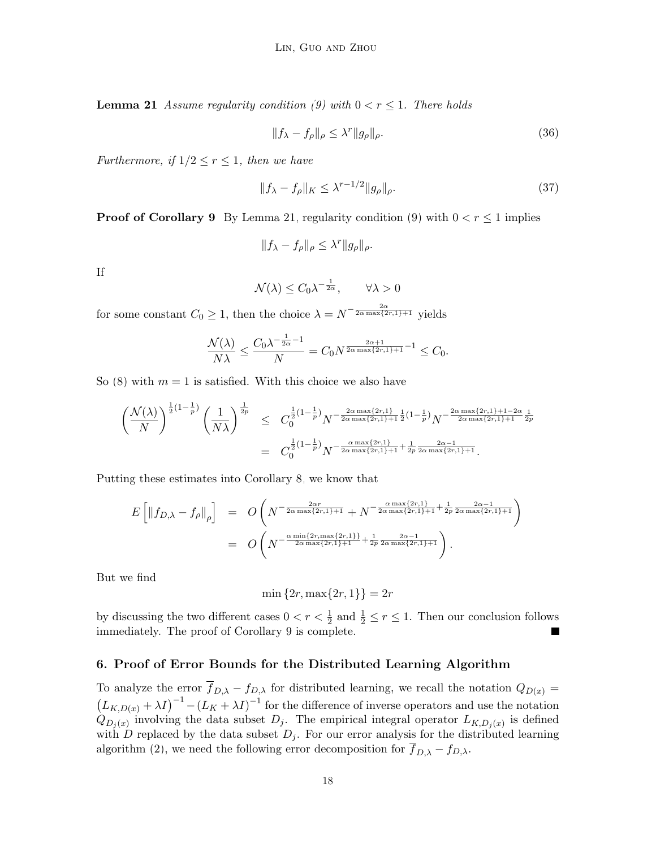**Lemma 21** Assume regularity condition [\(9\)](#page-4-0) with  $0 < r \leq 1$ . There holds

$$
||f_{\lambda} - f_{\rho}||_{\rho} \le \lambda^r ||g_{\rho}||_{\rho}.
$$
\n(36)

Furthermore, if  $1/2 \le r \le 1$ , then we have

$$
||f_{\lambda} - f_{\rho}||_K \leq \lambda^{r-1/2} ||g_{\rho}||_{\rho}.
$$
\n(37)

**Proof of Corollary [9](#page-5-1)** By Lemma [21,](#page-16-0) regularity condition [\(9\)](#page-4-0) with  $0 < r \le 1$  implies

$$
||f_{\lambda} - f_{\rho}||_{\rho} \leq \lambda^r ||g_{\rho}||_{\rho}.
$$

If

$$
\mathcal{N}(\lambda) \le C_0 \lambda^{-\frac{1}{2\alpha}}, \qquad \forall \lambda > 0
$$

for some constant  $C_0 \geq 1$ , then the choice  $\lambda = N^{-\frac{2\alpha}{2\alpha \max\{2r,1\}+1}}$  yields

$$
\frac{\mathcal{N}(\lambda)}{N\lambda} \le \frac{C_0 \lambda^{-\frac{1}{2\alpha}-1}}{N} = C_0 N^{\frac{2\alpha+1}{2\alpha \max\{2r,1\}+1}-1} \le C_0.
$$

So [\(8\)](#page-3-1) with  $m = 1$  is satisfied. With this choice we also have

$$
\left(\frac{\mathcal{N}(\lambda)}{N}\right)^{\frac{1}{2}\left(1-\frac{1}{p}\right)} \left(\frac{1}{N\lambda}\right)^{\frac{1}{2p}} \leq C_0^{\frac{1}{2}\left(1-\frac{1}{p}\right)} N^{-\frac{2\alpha \max\{2r,1\}}{2\alpha \max\{2r,1\}+1} \frac{1}{2}\left(1-\frac{1}{p}\right)} N^{-\frac{2\alpha \max\{2r,1\}+1-2\alpha}{2\alpha \max\{2r,1\}+1} \frac{1}{2p}} = C_0^{\frac{1}{2}\left(1-\frac{1}{p}\right)} N^{-\frac{\alpha \max\{2r,1\}}{2\alpha \max\{2r,1\}+1} + \frac{1}{2p} \frac{2\alpha - 1}{2\alpha \max\{2r,1\}+1}}.
$$

Putting these estimates into Corollary [8,](#page-5-3) we know that

$$
E\left[\|f_{D,\lambda} - f_{\rho}\|_{\rho}\right] = O\left(N^{-\frac{2\alpha r}{2\alpha \max\{2r,1\}+1}} + N^{-\frac{\alpha \max\{2r,1\}}{2\alpha \max\{2r,1\}+1} + \frac{1}{2p}\frac{2\alpha - 1}{2\alpha \max\{2r,1\}+1}}\right)
$$
  
= 
$$
O\left(N^{-\frac{\alpha \min\{2r, \max\{2r,1\}\}}{2\alpha \max\{2r,1\}+1} + \frac{1}{2p}\frac{2\alpha - 1}{2\alpha \max\{2r,1\}+1}}\right).
$$

But we find

min  $\{2r, \max\{2r, 1\}\} = 2r$ 

by discussing the two different cases  $0 < r < \frac{1}{2}$  and  $\frac{1}{2} \le r \le 1$ . Then our conclusion follows immediately. The proof of Corollary [9](#page-5-1) is complete. ш

# <span id="page-17-0"></span>6. Proof of Error Bounds for the Distributed Learning Algorithm

<span id="page-17-1"></span>To analyze the error  $\overline{f}_{D,\lambda} - f_{D,\lambda}$  for distributed learning, we recall the notation  $Q_{D(x)} =$  $(L_{K,D(x)} + \lambda I)^{-1} - (L_K + \lambda I)^{-1}$  for the difference of inverse operators and use the notation  $Q_{D_j(x)}$  involving the data subset  $D_j$ . The empirical integral operator  $L_{K,D_j(x)}$  is defined with  $D$  replaced by the data subset  $D_j$ . For our error analysis for the distributed learning algorithm [\(2\)](#page-1-1), we need the following error decomposition for  $\overline{f}_{D,\lambda} - f_{D,\lambda}$ .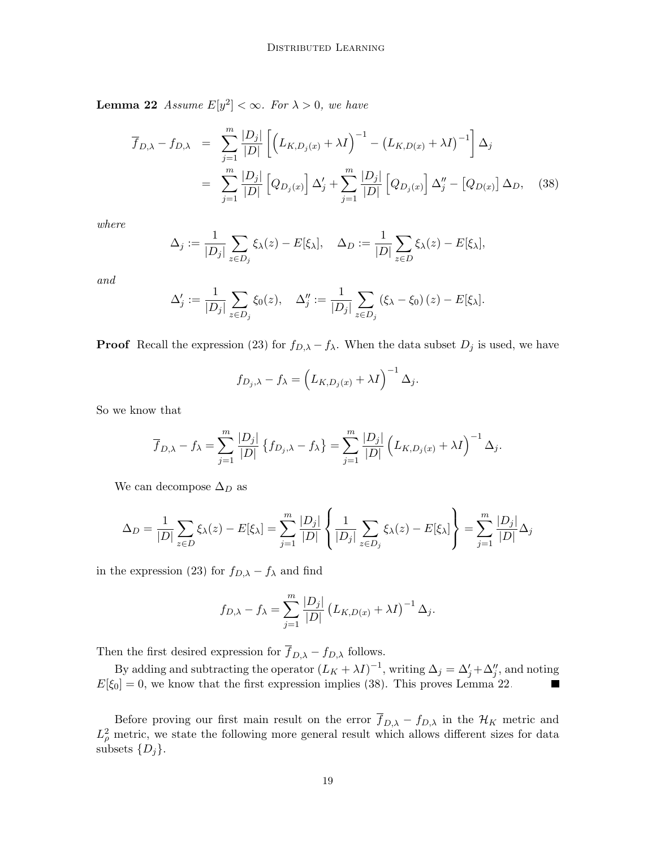**Lemma 22** Assume  $E[y^2] < \infty$ . For  $\lambda > 0$ , we have

<span id="page-18-0"></span>
$$
\overline{f}_{D,\lambda} - f_{D,\lambda} = \sum_{j=1}^{m} \frac{|D_j|}{|D|} \left[ \left( L_{K,D_j(x)} + \lambda I \right)^{-1} - \left( L_{K,D(x)} + \lambda I \right)^{-1} \right] \Delta_j
$$
\n
$$
= \sum_{j=1}^{m} \frac{|D_j|}{|D|} \left[ Q_{D_j(x)} \right] \Delta'_j + \sum_{j=1}^{m} \frac{|D_j|}{|D|} \left[ Q_{D_j(x)} \right] \Delta''_j - \left[ Q_{D(x)} \right] \Delta_D, \quad (38)
$$

where

$$
\Delta_j := \frac{1}{|D_j|} \sum_{z \in D_j} \xi_\lambda(z) - E[\xi_\lambda], \quad \Delta_D := \frac{1}{|D|} \sum_{z \in D} \xi_\lambda(z) - E[\xi_\lambda],
$$

and

$$
\Delta'_{j} := \frac{1}{|D_{j}|} \sum_{z \in D_{j}} \xi_{0}(z), \quad \Delta''_{j} := \frac{1}{|D_{j}|} \sum_{z \in D_{j}} (\xi_{\lambda} - \xi_{0})(z) - E[\xi_{\lambda}].
$$

**Proof** Recall the expression [\(23\)](#page-11-2) for  $f_{D,\lambda} - f_{\lambda}$ . When the data subset  $D_j$  is used, we have

$$
f_{D_j,\lambda} - f_{\lambda} = \left( L_{K,D_j(x)} + \lambda I \right)^{-1} \Delta_j.
$$

So we know that

$$
\overline{f}_{D,\lambda} - f_{\lambda} = \sum_{j=1}^{m} \frac{|D_j|}{|D|} \left\{ f_{D_j,\lambda} - f_{\lambda} \right\} = \sum_{j=1}^{m} \frac{|D_j|}{|D|} \left( L_{K,D_j(x)} + \lambda I \right)^{-1} \Delta_j.
$$

We can decompose  $\Delta_D$  as

$$
\Delta_D = \frac{1}{|D|} \sum_{z \in D} \xi_{\lambda}(z) - E[\xi_{\lambda}] = \sum_{j=1}^{m} \frac{|D_j|}{|D|} \left\{ \frac{1}{|D_j|} \sum_{z \in D_j} \xi_{\lambda}(z) - E[\xi_{\lambda}] \right\} = \sum_{j=1}^{m} \frac{|D_j|}{|D|} \Delta_j
$$

in the expression [\(23\)](#page-11-2) for  $f_{D,\lambda} - f_{\lambda}$  and find

$$
f_{D,\lambda} - f_{\lambda} = \sum_{j=1}^{m} \frac{|D_j|}{|D|} (L_{K,D(x)} + \lambda I)^{-1} \Delta_j.
$$

Then the first desired expression for  $\overline{f}_{D,\lambda} - f_{D,\lambda}$  follows.

By adding and subtracting the operator  $(L_K + \lambda I)^{-1}$ , writing  $\Delta_j = \Delta'_j + \Delta''_j$ , and noting  $E[\xi_0] = 0$ , we know that the first expression implies [\(38\)](#page-18-0). This proves Lemma [22.](#page-17-1)

<span id="page-18-1"></span>Before proving our first main result on the error  $\overline{f}_{D,\lambda} - f_{D,\lambda}$  in the  $\mathcal{H}_K$  metric and  $L^2_{\rho}$  metric, we state the following more general result which allows different sizes for data subsets  $\{D_i\}.$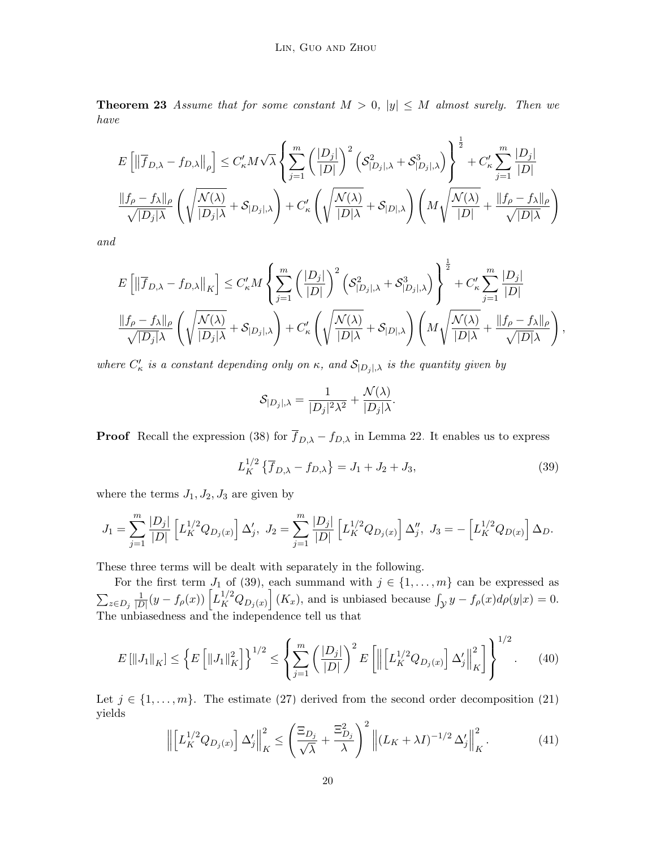**Theorem 23** Assume that for some constant  $M > 0$ ,  $|y| \leq M$  almost surely. Then we have

$$
\begin{split} &E\left[\left\|\overline{f}_{D,\lambda}-f_{D,\lambda}\right\|_{\rho}\right]\leq C'_{\kappa}M\sqrt{\lambda}\left\{\sum_{j=1}^{m}\left(\frac{|D_j|}{|D|}\right)^2\left(\mathcal{S}^2_{|D_j|,\lambda}+\mathcal{S}^3_{|D_j|,\lambda}\right)\right\}^{\frac{1}{2}}+C'_{\kappa}\sum_{j=1}^{m}\frac{|D_j|}{|D|}\\ &\frac{\|f_{\rho}-f_{\lambda}\|_{\rho}}{\sqrt{|D_j|\lambda}}\left(\sqrt{\frac{N(\lambda)}{|D_j|\lambda}}+\mathcal{S}_{|D_j|,\lambda}\right)+C'_{\kappa}\left(\sqrt{\frac{N(\lambda)}{|D|\lambda}}+\mathcal{S}_{|D|,\lambda}\right)\left(M\sqrt{\frac{N(\lambda)}{|D|}+\frac{\|f_{\rho}-f_{\lambda}\|_{\rho}}{\sqrt{|D|\lambda}}}\right) \end{split}
$$

and

$$
E\left[\left\|\overline{f}_{D,\lambda} - f_{D,\lambda}\right\|_{K}\right] \leq C'_{\kappa} M \left\{\sum_{j=1}^{m} \left(\frac{|D_{j}|}{|D|}\right)^{2} \left(\mathcal{S}_{|D_{j}|,\lambda}^{2} + \mathcal{S}_{|D_{j}|,\lambda}^{3}\right)\right\}^{\frac{1}{2}} + C'_{\kappa} \sum_{j=1}^{m} \frac{|D_{j}|}{|D|}
$$
  

$$
\frac{\|f_{\rho} - f_{\lambda}\|_{\rho}}{\sqrt{|D_{j}|\lambda}} \left(\sqrt{\frac{\mathcal{N}(\lambda)}{|D_{j}|\lambda}} + \mathcal{S}_{|D_{j}|,\lambda}\right) + C'_{\kappa} \left(\sqrt{\frac{\mathcal{N}(\lambda)}{|D|\lambda}} + \mathcal{S}_{|D|,\lambda}\right) \left(M \sqrt{\frac{\mathcal{N}(\lambda)}{|D|\lambda}} + \frac{\|f_{\rho} - f_{\lambda}\|_{\rho}}{\sqrt{|D|\lambda}}\right),
$$

where  $C'_{\kappa}$  is a constant depending only on  $\kappa$ , and  $\mathcal{S}_{|D_j|,\lambda}$  is the quantity given by

$$
\mathcal{S}_{|D_j|,\lambda} = \frac{1}{|D_j|^2 \lambda^2} + \frac{\mathcal{N}(\lambda)}{|D_j|\lambda}.
$$

**Proof** Recall the expression [\(38\)](#page-18-0) for  $\overline{f}_{D,\lambda} - f_{D,\lambda}$  in Lemma [22.](#page-17-1) It enables us to express

<span id="page-19-0"></span>
$$
L_K^{1/2} \{ \overline{f}_{D,\lambda} - f_{D,\lambda} \} = J_1 + J_2 + J_3,\tag{39}
$$

where the terms  $J_1, J_2, J_3$  are given by

$$
J_1=\sum_{j=1}^m \frac{|D_j|}{|D|} \left[ L_K^{1/2}Q_{D_j(x)} \right] \Delta'_j, \ J_2=\sum_{j=1}^m \frac{|D_j|}{|D|} \left[ L_K^{1/2}Q_{D_j(x)} \right] \Delta''_j, \ J_3=-\left[ L_K^{1/2}Q_{D(x)} \right] \Delta_D.
$$

These three terms will be dealt with separately in the following.

For the first term  $J_1$  of [\(39\)](#page-19-0), each summand with  $j \in \{1, \ldots, m\}$  can be expressed as  $\sum_{z\in D_j}\frac{1}{|L|}$  $\frac{1}{|D|}(y - f_{\rho}(x)) \left[ L_K^{1/2} Q_{D_j(x)} \right] (K_x)$ , and is unbiased because  $\int_{\mathcal{Y}} y - f_{\rho}(x) d\rho(y|x) = 0$ . The unbiasedness and the independence tell us that

<span id="page-19-2"></span>
$$
E\left[\|J_1\|_K\right] \le \left\{E\left[\|J_1\|_K^2\right]\right\}^{1/2} \le \left\{\sum_{j=1}^m \left(\frac{|D_j|}{|D|}\right)^2 E\left[\left\|\left[L_K^{1/2}Q_{D_j(x)}\right] \Delta'_j\right\|_K^2\right]\right\}^{1/2}.\tag{40}
$$

Let  $j \in \{1, \ldots, m\}$ . The estimate [\(27\)](#page-12-2) derived from the second order decomposition [\(21\)](#page-11-1) yields

<span id="page-19-1"></span>
$$
\left\| \left[ L_K^{1/2} Q_{D_j(x)} \right] \Delta'_j \right\|_K^2 \le \left( \frac{\Xi_{D_j}}{\sqrt{\lambda}} + \frac{\Xi_{D_j}^2}{\lambda} \right)^2 \left\| (L_K + \lambda I)^{-1/2} \Delta'_j \right\|_K^2. \tag{41}
$$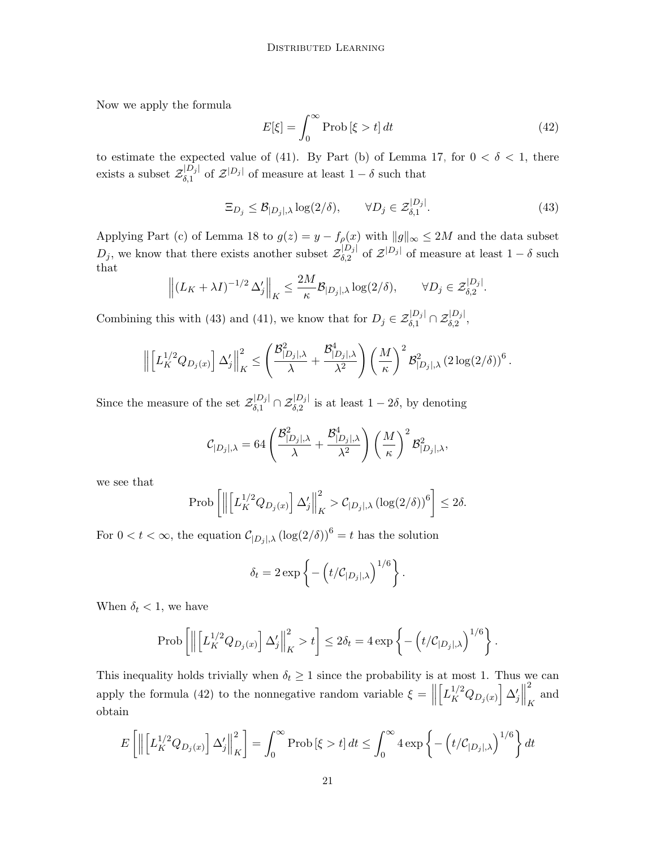Now we apply the formula

<span id="page-20-1"></span>
$$
E[\xi] = \int_0^\infty \text{Prob}[\xi > t] dt \tag{42}
$$

to estimate the expected value of [\(41\)](#page-19-1). By Part (b) of Lemma [17,](#page-12-1) for  $0 < \delta < 1$ , there exists a subset  $\mathcal{Z}_{\delta,1}^{|D_j|}$  $\delta_{\delta,1}^{[D_j]}$  of  $\mathcal{Z}^{[D_j]}$  of measure at least  $1-\delta$  such that

<span id="page-20-0"></span>
$$
\Xi_{D_j} \leq \mathcal{B}_{|D_j|, \lambda} \log(2/\delta), \qquad \forall D_j \in \mathcal{Z}_{\delta, 1}^{|D_j|}.
$$
\n(43)

Applying Part (c) of Lemma [18](#page-13-0) to  $g(z) = y - f_{\rho}(x)$  with  $||g||_{\infty} \le 2M$  and the data subset  $D_j$ , we know that there exists another subset  $\mathcal{Z}_{\delta,2}^{[D_j]}$  $\delta^{[D_j]}_{\delta,2}$  of  $\mathcal{Z}^{[D_j]}$  of measure at least  $1-\delta$  such that

$$
\left\| \left( L_K + \lambda I \right)^{-1/2} \Delta'_j \right\|_K \leq \frac{2M}{\kappa} \mathcal{B}_{|D_j|, \lambda} \log(2/\delta), \qquad \forall D_j \in \mathcal{Z}_{\delta, 2}^{|D_j|}.
$$

Combining this with [\(43\)](#page-20-0) and [\(41\)](#page-19-1), we know that for  $D_j \in \mathcal{Z}_{\delta,1}^{|D_j|} \cap \mathcal{Z}_{\delta,2}^{|D_j|}$ ,

$$
\left\|\left[L_K^{1/2}Q_{D_j(x)}\right]\Delta'_j\right\|_K^2 \leq \left(\frac{\mathcal{B}_{|D_j|,\lambda}^2}{\lambda} + \frac{\mathcal{B}_{|D_j|,\lambda}^4}{\lambda^2}\right) \left(\frac{M}{\kappa}\right)^2 \mathcal{B}_{|D_j|,\lambda}^2 (2\log(2/\delta))^6.
$$

Since the measure of the set  $\mathcal{Z}_{\delta,1}^{[D_j]} \cap \mathcal{Z}_{\delta,2}^{[D_j]}$  is at least  $1-2\delta$ , by denoting

$$
\mathcal{C}_{|D_j|, \lambda} = 64 \left(\frac{\mathcal{B}^2_{|D_j|, \lambda}}{\lambda} + \frac{\mathcal{B}^4_{|D_j|, \lambda}}{\lambda^2} \right) \left(\frac{M}{\kappa}\right)^2 \mathcal{B}^2_{|D_j|, \lambda},
$$

we see that

$$
\text{Prob}\left[\left\|\left[L_K^{1/2}Q_{D_j(x)}\right]\Delta'_j\right\|_K^2 > \mathcal{C}_{|D_j|,\lambda}\left(\log(2/\delta)\right)^6\right] \leq 2\delta.
$$

For  $0 < t < \infty$ , the equation  $C_{|D_j|,\lambda} (\log(2/\delta))^6 = t$  has the solution

$$
\delta_t = 2 \exp \left\{ - \left( t / C_{|D_j|, \lambda} \right)^{1/6} \right\}.
$$

When  $\delta_t < 1$ , we have

$$
\operatorname{Prob}\left[\left\|\left[L_K^{1/2}Q_{D_j(x)}\right]\Delta'_j\right\|_K^2 > t\right] \leq 2\delta_t = 4\exp\left\{-\left(t/\mathcal{C}_{|D_j|,\lambda}\right)^{1/6}\right\}.
$$

This inequality holds trivially when  $\delta_t \geq 1$  since the probability is at most 1. Thus we can apply the formula [\(42\)](#page-20-1) to the nonnegative random variable  $\xi = \|\cdot\|$  $\left[L_K^{1/2}Q_{D_j(x)}\right]\Delta'_j$ 2  $_K$  and obtain

$$
E\left[\left\|\left[L_K^{1/2}Q_{D_j(x)}\right] \Delta'_j\right\|_K^2\right] = \int_0^\infty \text{Prob}\left[\xi > t\right] dt \le \int_0^\infty 4 \exp\left\{-\left(t/\mathcal{C}_{|D_j|, \lambda}\right)^{1/6}\right\} dt
$$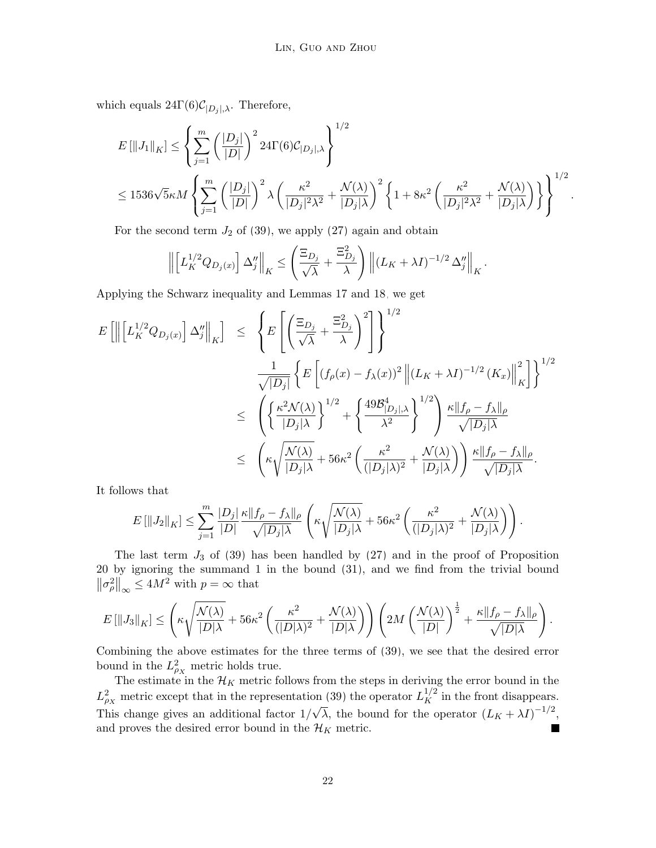which equals  $24\Gamma(6)\mathcal{C}_{|D_j|,\lambda}$ . Therefore,

$$
E\left[\left\|J_{1}\right\|_{K}\right] \leq \left\{\sum_{j=1}^{m} \left(\frac{|D_{j}|}{|D|}\right)^{2} 24\Gamma(6) \mathcal{C}_{|D_{j}|, \lambda}\right\}^{1/2}
$$
  

$$
\leq 1536\sqrt{5}\kappa M \left\{\sum_{j=1}^{m} \left(\frac{|D_{j}|}{|D|}\right)^{2} \lambda \left(\frac{\kappa^{2}}{|D_{j}|^{2}\lambda^{2}} + \frac{\mathcal{N}(\lambda)}{|D_{j}|\lambda}\right)^{2} \left\{1 + 8\kappa^{2} \left(\frac{\kappa^{2}}{|D_{j}|^{2}\lambda^{2}} + \frac{\mathcal{N}(\lambda)}{|D_{j}|\lambda}\right)\right\}^{1/2}.
$$

For the second term  $J_2$  of [\(39\)](#page-19-0), we apply [\(27\)](#page-12-2) again and obtain

$$
\left\| \left[ L_K^{1/2} Q_{D_j(x)} \right] \Delta_j'' \right\|_K \leq \left( \frac{\Xi_{D_j}}{\sqrt{\lambda}} + \frac{\Xi_{D_j}^2}{\lambda} \right) \left\| \left( L_K + \lambda I \right)^{-1/2} \Delta_j'' \right\|_K.
$$

Applying the Schwarz inequality and Lemmas [17](#page-12-1) and [18,](#page-13-0) we get

$$
E\left[\left\|\left[L_K^{1/2}Q_{D_j(x)}\right]\Delta_j''\right\|_K\right] \leq \left\{E\left[\left(\frac{\Xi_{D_j}}{\sqrt{\lambda}}+\frac{\Xi_{D_j}^2}{\lambda}\right)^2\right]\right\}^{1/2} \n\frac{1}{\sqrt{|D_j|}}\left\{E\left[(f_\rho(x)-f_\lambda(x))^2\left\|(L_K+\lambda I)^{-1/2}\left(K_x\right)\right\|_K^2\right]\right\}^{1/2} \n\leq \left(\left\{\frac{\kappa^2\mathcal{N}(\lambda)}{|D_j|\lambda}\right\}^{1/2}+\left\{\frac{49\mathcal{B}_{|D_j|,\lambda}^4}{\lambda^2}\right\}^{1/2}\right)\frac{\kappa\|f_\rho-f_\lambda\|_\rho}{\sqrt{|D_j|\lambda}} \n\leq \left(\kappa\sqrt{\frac{\mathcal{N}(\lambda)}{|D_j|\lambda}}+56\kappa^2\left(\frac{\kappa^2}{(|D_j|\lambda)^2}+\frac{\mathcal{N}(\lambda)}{|D_j|\lambda}\right)\right)\frac{\kappa\|f_\rho-f_\lambda\|_\rho}{\sqrt{|D_j|\lambda}}.
$$

It follows that

$$
E\left[\|J_2\|_K\right] \leq \sum_{j=1}^m \frac{|D_j|}{|D|} \frac{\kappa \|f_\rho - f_\lambda\|_\rho}{\sqrt{|D_j|\lambda}} \left(\kappa \sqrt{\frac{\mathcal{N}(\lambda)}{|D_j|\lambda}} + 56\kappa^2 \left(\frac{\kappa^2}{(|D_j|\lambda)^2} + \frac{\mathcal{N}(\lambda)}{|D_j|\lambda}\right)\right).
$$

The last term  $J_3$  of [\(39\)](#page-19-0) has been handled by [\(27\)](#page-12-2) and in the proof of Proposition [20](#page-14-4) by ignoring the summand 1 in the bound [\(31\)](#page-14-1), and we find from the trivial bound  $\left\|\sigma_{\rho}^2\right\|_{\infty} \le 4M^2$  with  $p = \infty$  that

$$
E\left[\|J_3\|_K\right] \leq \left(\kappa\sqrt{\frac{\mathcal{N}(\lambda)}{|D|\lambda}} + 56\kappa^2 \left(\frac{\kappa^2}{(|D|\lambda)^2} + \frac{\mathcal{N}(\lambda)}{|D|\lambda}\right)\right) \left(2M\left(\frac{\mathcal{N}(\lambda)}{|D|}\right)^{\frac{1}{2}} + \frac{\kappa\|f_\rho - f_\lambda\|_\rho}{\sqrt{|D|\lambda}}\right).
$$

Combining the above estimates for the three terms of [\(39\)](#page-19-0), we see that the desired error bound in the  $L_{\rho_X}^2$  metric holds true.

The estimate in the  $\mathcal{H}_K$  metric follows from the steps in deriving the error bound in the  $L_{\rho_X}^2$  metric except that in the representation [\(39\)](#page-19-0) the operator  $L_K^{1/2}$  in the front disappears. This change gives an additional factor  $1/\sqrt{\lambda}$ , the bound for the operator  $(L_K + \lambda I)^{-1/2}$ , and proves the desired error bound in the  $\mathcal{H}_K$  metric. П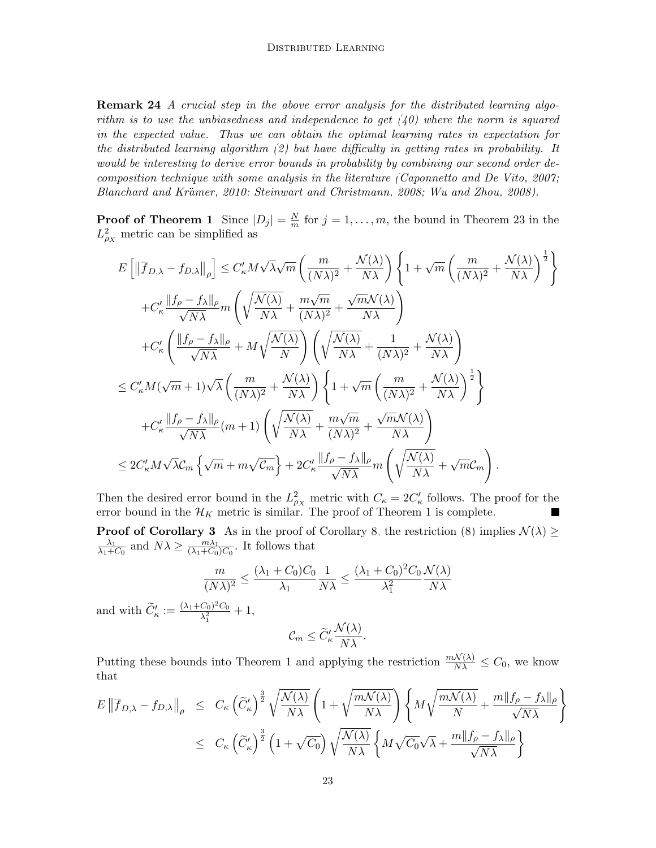**Remark 24** A crucial step in the above error analysis for the distributed learning algorithm is to use the unbiasedness and independence to get  $(40)$  where the norm is squared in the expected value. Thus we can obtain the optimal learning rates in expectation for the distributed learning algorithm  $(2)$  but have difficulty in getting rates in probability. It would be interesting to derive error bounds in probability by combining our second order decomposition technique with some analysis in the literature [\(Caponnetto and De Vito, 2007;](#page-28-4) Blanchard and Krämer, 2010; [Steinwart and Christmann, 2008;](#page-29-6) [Wu and Zhou, 2008\)](#page-30-9).

**Proof of Theorem [1](#page-2-0)** Since  $|D_j| = \frac{N}{m}$  $\frac{N}{m}$  for  $j = 1, ..., m$ , the bound in Theorem [23](#page-18-1) in the  $L_{\rho_X}^2$  metric can be simplified as

$$
E\left[\left\|\overline{f}_{D,\lambda} - f_{D,\lambda}\right\|_{\rho}\right] \leq C'_{\kappa}M\sqrt{\lambda}\sqrt{m}\left(\frac{m}{(N\lambda)^2} + \frac{\mathcal{N}(\lambda)}{N\lambda}\right)\left\{1 + \sqrt{m}\left(\frac{m}{(N\lambda)^2} + \frac{\mathcal{N}(\lambda)}{N\lambda}\right)^{\frac{1}{2}}\right\}
$$
  
+
$$
C'_{\kappa}\frac{\left\|f_{\rho} - f_{\lambda}\right\|_{\rho}}{\sqrt{N\lambda}} m\left(\sqrt{\frac{\mathcal{N}(\lambda)}{N\lambda}} + \frac{m\sqrt{m}}{(N\lambda)^2} + \frac{\sqrt{m}\mathcal{N}(\lambda)}{N\lambda}\right)
$$
  
+
$$
C'_{\kappa}\left(\frac{\left\|f_{\rho} - f_{\lambda}\right\|_{\rho}}{\sqrt{N\lambda}} + M\sqrt{\frac{\mathcal{N}(\lambda)}{N}}\right)\left(\sqrt{\frac{\mathcal{N}(\lambda)}{N\lambda}} + \frac{1}{(N\lambda)^2} + \frac{\mathcal{N}(\lambda)}{N\lambda}\right)
$$
  

$$
\leq C'_{\kappa}M(\sqrt{m} + 1)\sqrt{\lambda}\left(\frac{m}{(N\lambda)^2} + \frac{\mathcal{N}(\lambda)}{N\lambda}\right)\left\{1 + \sqrt{m}\left(\frac{m}{(N\lambda)^2} + \frac{\mathcal{N}(\lambda)}{N\lambda}\right)^{\frac{1}{2}}\right\}
$$
  
+
$$
C'_{\kappa}\frac{\left\|f_{\rho} - f_{\lambda}\right\|_{\rho}}{\sqrt{N\lambda}}(m + 1)\left(\sqrt{\frac{\mathcal{N}(\lambda)}{N\lambda}} + \frac{m\sqrt{m}}{(N\lambda)^2} + \frac{\mathcal{N}m\mathcal{N}(\lambda)}{N\lambda}\right)
$$
  

$$
\leq 2C'_{\kappa}M\sqrt{\lambda}C_{m}\left\{\sqrt{m} + m\sqrt{C_{m}}\right\} + 2C'_{\kappa}\frac{\left\|f_{\rho} - f_{\lambda}\right\|_{\rho}}{\sqrt{N\lambda}}m\left(\sqrt{\frac{\mathcal{N}(\lambda)}{N\lambda}} + \sqrt{m}C_{m}\right).
$$

Then the desired error bound in the  $L_{\rho_X}^2$  metric with  $C_{\kappa} = 2C_{\kappa}'$  follows. The proof for the error bound in the  $\mathcal{H}_K$  metric is similar. The proof of Theorem [1](#page-2-0) is complete.

**Proof of Corollary [3](#page-3-2)** As in the proof of Corollary [8,](#page-5-3) the restriction [\(8\)](#page-3-1) implies  $\mathcal{N}(\lambda) \geq$  $\lambda_1$  $\frac{\lambda_1}{\lambda_1+C_0}$  and  $N\lambda \ge \frac{m\lambda_1}{(\lambda_1+C_0)}$  $\frac{m\lambda_1}{(\lambda_1+C_0)C_0}$ . It follows that

$$
\frac{m}{(N\lambda)^2} \le \frac{(\lambda_1 + C_0)C_0}{\lambda_1} \frac{1}{N\lambda} \le \frac{(\lambda_1 + C_0)^2 C_0}{\lambda_1^2} \frac{\mathcal{N}(\lambda)}{N\lambda}
$$

$$
\widetilde{C}'_{\kappa} := \frac{(\lambda_1 + C_0)^2 C_0}{\lambda_1^2} + 1,
$$

$$
\mathcal{C}_m \le \widetilde{C}'_{\kappa} \frac{\mathcal{N}(\lambda)}{N\lambda}.
$$

and with

Putting these bounds into Theorem [1](#page-2-0) and applying the restriction  $\frac{m\mathcal{N}(\lambda)}{N\lambda} \leq C_0$ , we know that

$$
E \left\| \overline{f}_{D,\lambda} - f_{D,\lambda} \right\|_{\rho} \leq C_{\kappa} \left( \widetilde{C}_{\kappa}^{\prime} \right)^{\frac{3}{2}} \sqrt{\frac{\mathcal{N}(\lambda)}{N\lambda}} \left( 1 + \sqrt{\frac{m\mathcal{N}(\lambda)}{N\lambda}} \right) \left\{ M \sqrt{\frac{m\mathcal{N}(\lambda)}{N}} + \frac{m\|f_{\rho} - f_{\lambda}\|_{\rho}}{\sqrt{N\lambda}} \right\}
$$
  

$$
\leq C_{\kappa} \left( \widetilde{C}_{\kappa}^{\prime} \right)^{\frac{3}{2}} \left( 1 + \sqrt{C_{0}} \right) \sqrt{\frac{\mathcal{N}(\lambda)}{N\lambda}} \left\{ M \sqrt{C_{0}} \sqrt{\lambda} + \frac{m\|f_{\rho} - f_{\lambda}\|_{\rho}}{\sqrt{N\lambda}} \right\}
$$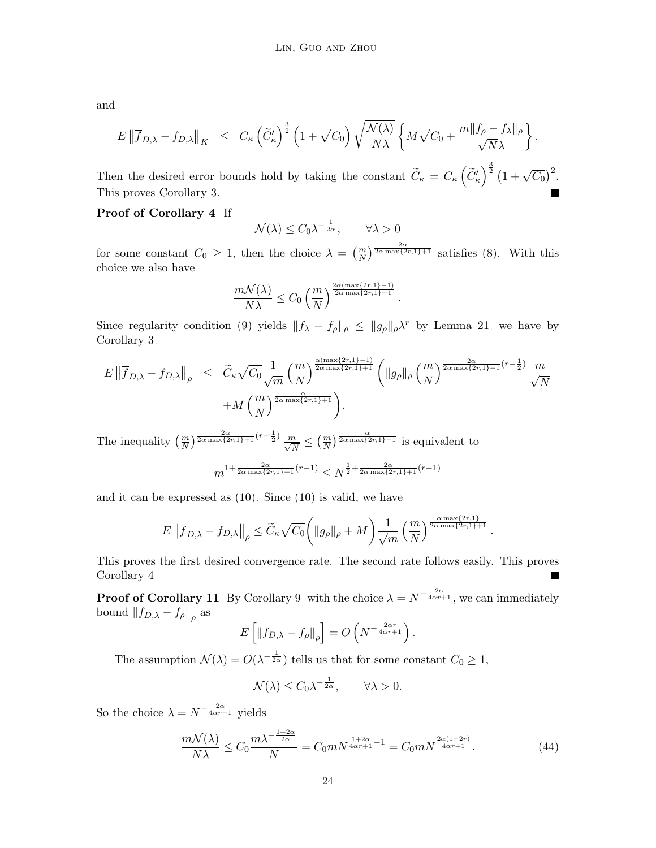and

$$
E \left\| \overline{f}_{D,\lambda} - f_{D,\lambda} \right\|_K \leq C_{\kappa} \left( \widetilde{C}'_{\kappa} \right)^{\frac{3}{2}} \left( 1 + \sqrt{C_0} \right) \sqrt{\frac{\mathcal{N}(\lambda)}{N\lambda}} \left\{ M \sqrt{C_0} + \frac{m \| f_{\rho} - f_{\lambda} \|_{\rho}}{\sqrt{N\lambda}} \right\}.
$$

Then the desired error bounds hold by taking the constant  $\widetilde{C}_{\kappa} = C_{\kappa} \left( \widetilde{C}_{\kappa}' \right)^{\frac{3}{2}} \left( 1 + \sqrt{C_0} \right)^2$ . This proves Corollary [3.](#page-3-2)

# Proof of Corollary [4](#page-4-1) If

$$
\mathcal{N}(\lambda) \le C_0 \lambda^{-\frac{1}{2\alpha}}, \qquad \forall \lambda > 0
$$

for some constant  $C_0 \geq 1$ , then the choice  $\lambda = \left(\frac{m}{N}\right)^{\frac{2\alpha}{2\alpha \max\{2r,1\}+1}}$  satisfies [\(8\)](#page-3-1). With this choice we also have

$$
\frac{m\mathcal{N}(\lambda)}{N\lambda} \le C_0 \left(\frac{m}{N}\right)^{\frac{2\alpha(\max\{2r,1\}-1)}{2\alpha\max\{2r,1\}+1}}
$$

Since regularity condition [\(9\)](#page-4-0) yields  $||f_{\lambda} - f_{\rho}||_{\rho} \le ||g_{\rho}||_{\rho} \lambda^{r}$  by Lemma [21,](#page-16-0) we have by Corollary [3,](#page-3-2)

.

.

$$
E \left\| \overline{f}_{D,\lambda} - f_{D,\lambda} \right\|_{\rho} \leq \widetilde{C}_{\kappa} \sqrt{C_0} \frac{1}{\sqrt{m}} \left( \frac{m}{N} \right)^{\frac{\alpha(\max\{2r,1\}-1)}{2\alpha \max\{2r,1\}+1}} \left( \|g_{\rho}\|_{\rho} \left( \frac{m}{N} \right)^{\frac{2\alpha}{2\alpha \max\{2r,1\}+1} (r-\frac{1}{2})} \frac{m}{\sqrt{N}} + M \left( \frac{m}{N} \right)^{\frac{\alpha}{2\alpha \max\{2r,1\}+1}} \right).
$$

The inequality  $\left(\frac{m}{N}\right)^{\frac{2\alpha}{2\alpha \max\{2r,1\}+1}(r-\frac{1}{2})} \frac{m}{\sqrt{N}} \leq \left(\frac{m}{N}\right)^{\frac{\alpha}{2\alpha \max\{2r,1\}+1}}$  is equivalent to

$$
m^{1+\frac{2\alpha}{2\alpha\max\{2r,1\}+1}(r-1)} \leq N^{\frac{1}{2}+\frac{2\alpha}{2\alpha\max\{2r,1\}+1}(r-1)}
$$

and it can be expressed as [\(10\)](#page-4-2). Since [\(10\)](#page-4-2) is valid, we have

$$
E\left\|\overline{f}_{D,\lambda} - f_{D,\lambda}\right\|_{\rho} \le \widetilde{C}_{\kappa} \sqrt{C_0} \left( \|g_{\rho}\|_{\rho} + M \right) \frac{1}{\sqrt{m}} \left(\frac{m}{N}\right)^{\frac{\alpha \max\{2r,1\}}{2\alpha \max\{2r,1\}+1}}
$$

This proves the first desired convergence rate. The second rate follows easily. This proves Corollary [4.](#page-4-1)

**Proof of Corollary [11](#page-6-0)** By Corollary [9,](#page-5-1) with the choice  $\lambda = N^{-\frac{2\alpha}{4\alpha r + 1}}$ , we can immediately bound  $\left\Vert f_{D,\lambda}-f_{\rho}\right\Vert _{\rho}$  as

$$
E\left[\left\|f_{D,\lambda}-f_{\rho}\right\|_{\rho}\right]=O\left(N^{-\frac{2\alpha r}{4\alpha r+1}}\right).
$$

The assumption  $\mathcal{N}(\lambda) = O(\lambda^{-\frac{1}{2\alpha}})$  tells us that for some constant  $C_0 \geq 1$ ,

$$
\mathcal{N}(\lambda) \le C_0 \lambda^{-\frac{1}{2\alpha}}, \qquad \forall \lambda > 0.
$$

So the choice  $\lambda = N^{-\frac{2\alpha}{4\alpha r+1}}$  yields

$$
\frac{m\mathcal{N}(\lambda)}{N\lambda} \le C_0 \frac{m\lambda^{-\frac{1+2\alpha}{2\alpha}}}{N} = C_0 m N^{\frac{1+2\alpha}{4\alpha r+1} - 1} = C_0 m N^{\frac{2\alpha(1-2r)}{4\alpha r+1}}.\tag{44}
$$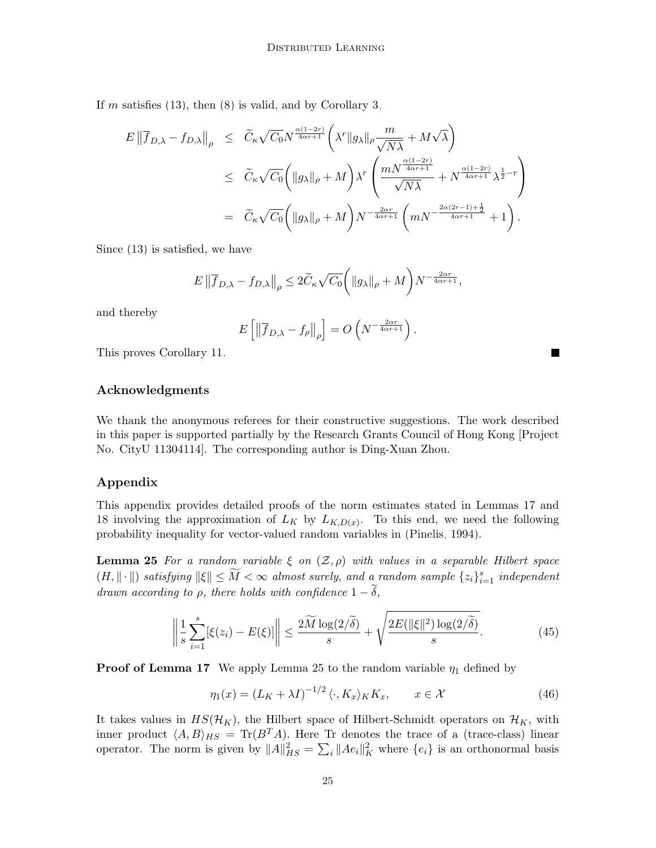If m satisfies  $(13)$ , then  $(8)$  is valid, and by Corollary [3,](#page-3-2)

$$
E \left\| \overline{f}_{D,\lambda} - f_{D,\lambda} \right\|_{\rho} \leq \widetilde{C}_{\kappa} \sqrt{C_0} N^{\frac{\alpha(1-2r)}{4\alpha r + 1}} \left( \lambda^r \|g_{\lambda}\|_{\rho} \frac{m}{\sqrt{N\lambda}} + M\sqrt{\lambda} \right)
$$
  

$$
\leq \widetilde{C}_{\kappa} \sqrt{C_0} \left( \|g_{\lambda}\|_{\rho} + M \right) \lambda^r \left( \frac{m N^{\frac{\alpha(1-2r)}{4\alpha r + 1}}}{\sqrt{N\lambda}} + N^{\frac{\alpha(1-2r)}{4\alpha r + 1}} \lambda^{\frac{1}{2} - r} \right)
$$
  

$$
= \widetilde{C}_{\kappa} \sqrt{C_0} \left( \|g_{\lambda}\|_{\rho} + M \right) N^{-\frac{2\alpha r}{4\alpha r + 1}} \left( m N^{-\frac{2\alpha(2r-1) + \frac{1}{2}}{4\alpha r + 1}} + 1 \right).
$$

Since [\(13\)](#page-6-1) is satisfied, we have

$$
E \left\| \overline{f}_{D,\lambda} - f_{D,\lambda} \right\|_{\rho} \le 2 \widetilde{C}_{\kappa} \sqrt{C_0} \left( \|g_{\lambda}\|_{\rho} + M \right) N^{-\frac{2\alpha r}{4\alpha r + 1}},
$$

and thereby

$$
E\left[\left\|\overline{f}_{D,\lambda} - f_{\rho}\right\|_{\rho}\right] = O\left(N^{-\frac{2\alpha r}{4\alpha r + 1}}\right).
$$

This proves Corollary [11.](#page-6-0)

#### Acknowledgments

We thank the anonymous referees for their constructive suggestions. The work described in this paper is supported partially by the Research Grants Council of Hong Kong [Project No. CityU 11304114]. The corresponding author is Ding-Xuan Zhou.

## Appendix

This appendix provides detailed proofs of the norm estimates stated in Lemmas [17](#page-12-1) and [18](#page-13-0) involving the approximation of  $L_K$  by  $L_{K,D(x)}$ . To this end, we need the following probability inequality for vector-valued random variables in [\(Pinelis, 1994\)](#page-29-15).

<span id="page-24-0"></span>**Lemma 25** For a random variable  $\xi$  on  $(\mathcal{Z}, \rho)$  with values in a separable Hilbert space  $(H, \|\cdot\|)$  satisfying  $\|\xi\| \leq \widetilde{M} < \infty$  almost surely, and a random sample  $\{z_i\}_{i=1}^s$  independent drawn according to  $\rho$ , there holds with confidence  $1 - \delta$ ,

$$
\left\| \frac{1}{s} \sum_{i=1}^{s} [\xi(z_i) - E(\xi)] \right\| \le \frac{2\widetilde{M} \log(2/\widetilde{\delta})}{s} + \sqrt{\frac{2E(\|\xi\|^2) \log(2/\widetilde{\delta})}{s}}.
$$
(45)

**Proof of Lemma [17](#page-12-1)** We apply Lemma [25](#page-24-0) to the random variable  $\eta_1$  defined by

<span id="page-24-1"></span>
$$
\eta_1(x) = (L_K + \lambda I)^{-1/2} \langle \cdot, K_x \rangle_K K_x, \qquad x \in \mathcal{X}
$$
\n(46)

It takes values in  $HS(\mathcal{H}_K)$ , the Hilbert space of Hilbert-Schmidt operators on  $\mathcal{H}_K$ , with inner product  $\langle A, B \rangle_{HS} = \text{Tr}(B^T A)$ . Here Tr denotes the trace of a (trace-class) linear operator. The norm is given by  $||A||_{HS}^2 = \sum_i ||Ae_i||_K^2$  where  $\{e_i\}$  is an orthonormal basis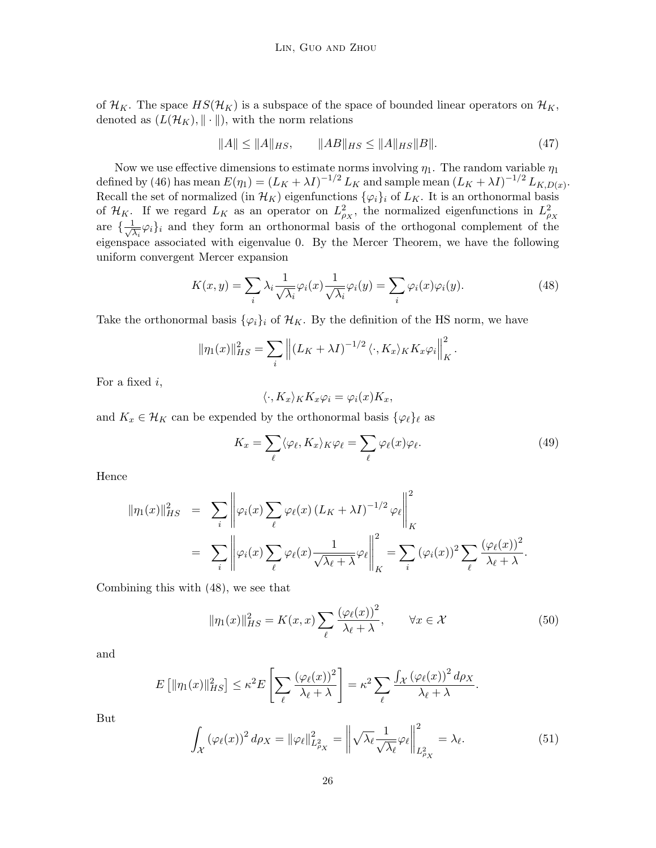of  $\mathcal{H}_K$ . The space  $HS(\mathcal{H}_K)$  is a subspace of the space of bounded linear operators on  $\mathcal{H}_K$ , denoted as  $(L(\mathcal{H}_K), \|\cdot\|)$ , with the norm relations

<span id="page-25-1"></span>
$$
||A|| \le ||A||_{HS}, \qquad ||AB||_{HS} \le ||A||_{HS}||B||. \tag{47}
$$

Now we use effective dimensions to estimate norms involving  $\eta_1$ . The random variable  $\eta_1$ defined by [\(46\)](#page-24-1) has mean  $E(\eta_1) = (L_K + \lambda I)^{-1/2} L_K$  and sample mean  $(L_K + \lambda I)^{-1/2} L_{K,D(x)}$ . Recall the set of normalized (in  $\mathcal{H}_K$ ) eigenfunctions  $\{\varphi_i\}_i$  of  $L_K$ . It is an orthonormal basis of  $\mathcal{H}_K$ . If we regard  $L_K$  as an operator on  $L^2_{\rho_X}$ , the normalized eigenfunctions in  $L^2_{\rho_X}$ are  $\{\frac{1}{\sqrt{2}}\}$  $\frac{1}{\lambda_i} \varphi_i$  and they form an orthonormal basis of the orthogonal complement of the eigenspace associated with eigenvalue 0. By the Mercer Theorem, we have the following uniform convergent Mercer expansion

<span id="page-25-0"></span>
$$
K(x,y) = \sum_{i} \lambda_i \frac{1}{\sqrt{\lambda_i}} \varphi_i(x) \frac{1}{\sqrt{\lambda_i}} \varphi_i(y) = \sum_{i} \varphi_i(x) \varphi_i(y). \tag{48}
$$

Take the orthonormal basis  $\{\varphi_i\}_i$  of  $\mathcal{H}_K$ . By the definition of the HS norm, we have

$$
\|\eta_1(x)\|_{HS}^2 = \sum_i \left\| (L_K + \lambda I)^{-1/2} \langle \cdot, K_x \rangle_K K_x \varphi_i \right\|_K^2
$$

For a fixed  $i$ ,

$$
\langle \cdot, K_x \rangle_K K_x \varphi_i = \varphi_i(x) K_x,
$$

and  $K_x \in \mathcal{H}_K$  can be expended by the orthonormal basis  $\{\varphi_\ell\}_\ell$  as

<span id="page-25-2"></span>
$$
K_x = \sum_{\ell} \langle \varphi_{\ell}, K_x \rangle_K \varphi_{\ell} = \sum_{\ell} \varphi_{\ell}(x) \varphi_{\ell}.
$$
 (49)

.

Hence

$$
\|\eta_1(x)\|_{HS}^2 = \sum_i \left\|\varphi_i(x) \sum_{\ell} \varphi_{\ell}(x) (L_K + \lambda I)^{-1/2} \varphi_{\ell}\right\|_{K}^2
$$
  

$$
= \sum_i \left\|\varphi_i(x) \sum_{\ell} \varphi_{\ell}(x) \frac{1}{\sqrt{\lambda_{\ell} + \lambda}} \varphi_{\ell}\right\|_{K}^2 = \sum_i (\varphi_i(x))^2 \sum_{\ell} \frac{(\varphi_{\ell}(x))^2}{\lambda_{\ell} + \lambda}.
$$

Combining this with [\(48\)](#page-25-0), we see that

<span id="page-25-3"></span>
$$
\|\eta_1(x)\|_{HS}^2 = K(x,x) \sum_{\ell} \frac{(\varphi_\ell(x))^2}{\lambda_\ell + \lambda}, \qquad \forall x \in \mathcal{X}
$$
 (50)

and

$$
E\left[\|\eta_1(x)\|_{HS}^2\right] \leq \kappa^2 E\left[\sum_{\ell} \frac{(\varphi_{\ell}(x))^2}{\lambda_{\ell} + \lambda}\right] = \kappa^2 \sum_{\ell} \frac{\int_{\mathcal{X}} (\varphi_{\ell}(x))^2 d\rho_X}{\lambda_{\ell} + \lambda}.
$$

But

$$
\int_{\mathcal{X}} \left(\varphi_{\ell}(x)\right)^2 d\rho_X = \left\|\varphi_{\ell}\right\|_{L^2_{\rho_X}}^2 = \left\|\sqrt{\lambda_{\ell}} \frac{1}{\sqrt{\lambda_{\ell}}} \varphi_{\ell}\right\|_{L^2_{\rho_X}}^2 = \lambda_{\ell}.\tag{51}
$$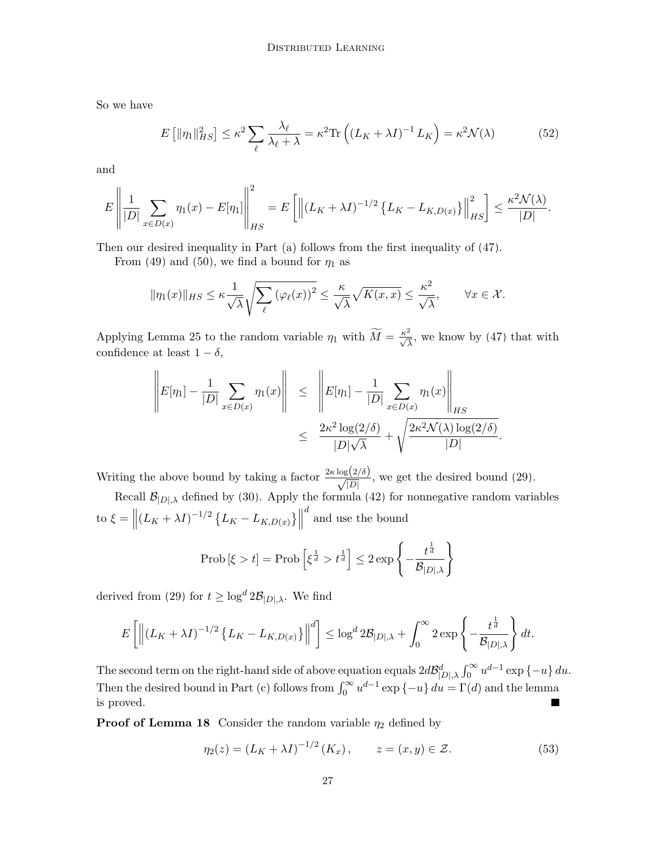So we have

$$
E\left[\|\eta_1\|_{HS}^2\right] \le \kappa^2 \sum_{\ell} \frac{\lambda_{\ell}}{\lambda_{\ell} + \lambda} = \kappa^2 \text{Tr}\left(\left(L_K + \lambda I\right)^{-1} L_K\right) = \kappa^2 \mathcal{N}(\lambda) \tag{52}
$$

and

$$
E\left\| \frac{1}{|D|} \sum_{x \in D(x)} \eta_1(x) - E[\eta_1] \right\|_{HS}^2 = E\left[ \left\| (L_K + \lambda I)^{-1/2} \left\{ L_K - L_{K,D(x)} \right\} \right\|_{HS}^2 \right] \le \frac{\kappa^2 \mathcal{N}(\lambda)}{|D|}.
$$

Then our desired inequality in Part (a) follows from the first inequality of [\(47\)](#page-25-1).

From [\(49\)](#page-25-2) and [\(50\)](#page-25-3), we find a bound for  $\eta_1$  as

$$
\|\eta_1(x)\|_{HS} \le \kappa \frac{1}{\sqrt{\lambda}} \sqrt{\sum_{\ell} \left(\varphi_{\ell}(x)\right)^2} \le \frac{\kappa}{\sqrt{\lambda}} \sqrt{K(x,x)} \le \frac{\kappa^2}{\sqrt{\lambda}}, \qquad \forall x \in \mathcal{X}.
$$

Applying Lemma [25](#page-24-0) to the random variable  $\eta_1$  with  $\widetilde{M} = \frac{\kappa^2}{\sqrt{\lambda}}$ , we know by [\(47\)](#page-25-1) that with confidence at least  $1 - \delta$ ,

$$
\left\| E[\eta_1] - \frac{1}{|D|} \sum_{x \in D(x)} \eta_1(x) \right\| \leq \left\| E[\eta_1] - \frac{1}{|D|} \sum_{x \in D(x)} \eta_1(x) \right\|_{HS}
$$

$$
\leq \frac{2\kappa^2 \log(2/\delta)}{|D|\sqrt{\lambda}} + \sqrt{\frac{2\kappa^2 \mathcal{N}(\lambda) \log(2/\delta)}{|D|}}
$$

.

Writing the above bound by taking a factor  $\frac{2\kappa \log(2/\delta)}{\sqrt{|D|}}$ , we get the desired bound [\(29\)](#page-13-1).

Recall  $\mathcal{B}_{|D|,\lambda}$  defined by [\(30\)](#page-13-2). Apply the formula [\(42\)](#page-20-1) for nonnegative random variables to  $\xi = \left\| (L_K + \lambda I)^{-1/2} \left\{ L_K - L_{K,D(x)} \right\} \right\|$  $\real^d$  and use the bound

$$
\text{Prob}\left[\xi > t\right] = \text{Prob}\left[\xi^{\frac{1}{d}} > t^{\frac{1}{d}}\right] \le 2 \exp\left\{-\frac{t^{\frac{1}{d}}}{\mathcal{B}_{|D|,\lambda}}\right\}
$$

derived from [\(29\)](#page-13-1) for  $t \geq \log^d 2\mathcal{B}_{|D|,\lambda}$ . We find

$$
E\left[\left\|(L_K+\lambda I)^{-1/2}\left\{L_K-L_{K,D(x)}\right\}\right\|^d\right]\leq \log^d 2\mathcal{B}_{|D|,\lambda}+\int_0^\infty 2\exp\left\{-\frac{t^{\frac{1}{d}}}{\mathcal{B}_{|D|,\lambda}}\right\}dt.
$$

The second term on the right-hand side of above equation equals  $2d\mathcal{B}_{|D|,\lambda}^d \int_0^\infty u^{d-1} \exp \{-u\} du$ . Then the desired bound in Part (c) follows from  $\int_0^\infty u^{d-1} \exp \{-u\} du = \Gamma(d)$  and the lemma is proved.

**Proof of Lemma [18](#page-13-0)** Consider the random variable  $\eta_2$  defined by

$$
\eta_2(z) = (L_K + \lambda I)^{-1/2} (K_x), \qquad z = (x, y) \in \mathcal{Z}.
$$
 (53)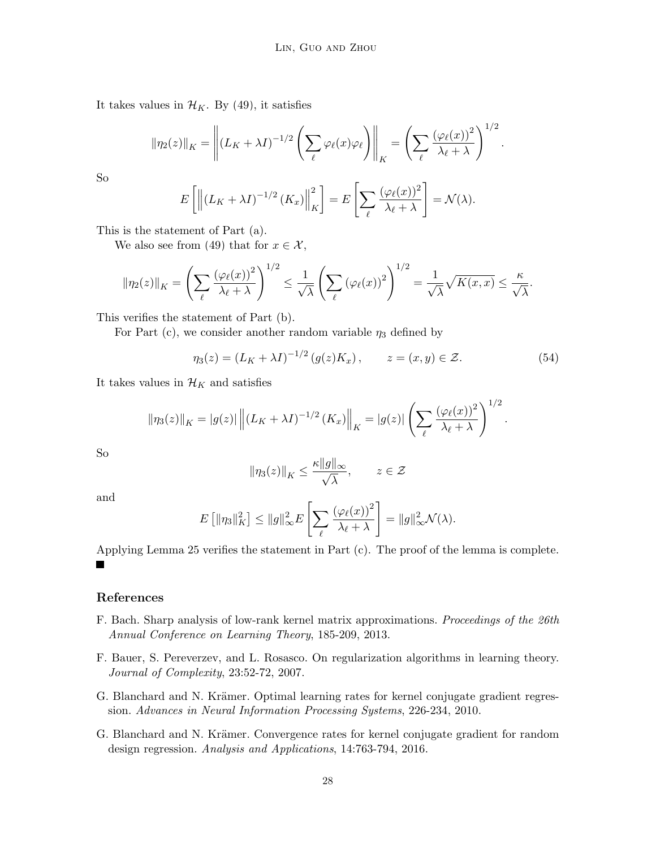It takes values in  $\mathcal{H}_K$ . By [\(49\)](#page-25-2), it satisfies

$$
\|\eta_2(z)\|_K = \left\|(L_K + \lambda I)^{-1/2} \left(\sum_{\ell} \varphi_{\ell}(x)\varphi_{\ell}\right)\right\|_K = \left(\sum_{\ell} \frac{(\varphi_{\ell}(x))^2}{\lambda_{\ell} + \lambda}\right)^{1/2}.
$$

$$
E\left[\left\|(L_K + \lambda I)^{-1/2} (K_x)\right\|_K^2\right] = E\left[\sum_{\ell} \frac{(\varphi_{\ell}(x))^2}{\lambda_{\ell} + \lambda}\right] = \mathcal{N}(\lambda).
$$

So

This is the statement of Part 
$$
(a)
$$
.

We also see from [\(49\)](#page-25-2) that for  $x \in \mathcal{X}$ ,

$$
\|\eta_2(z)\|_K = \left(\sum_{\ell} \frac{(\varphi_{\ell}(x))^2}{\lambda_{\ell} + \lambda}\right)^{1/2} \le \frac{1}{\sqrt{\lambda}} \left(\sum_{\ell} (\varphi_{\ell}(x))^2\right)^{1/2} = \frac{1}{\sqrt{\lambda}} \sqrt{K(x,x)} \le \frac{\kappa}{\sqrt{\lambda}}.
$$

This verifies the statement of Part (b).

For Part (c), we consider another random variable  $\eta_3$  defined by

$$
\eta_3(z) = (L_K + \lambda I)^{-1/2} (g(z)K_x), \qquad z = (x, y) \in \mathcal{Z}.
$$
 (54)

 $\ell$ 

It takes values in  $\mathcal{H}_K$  and satisfies

$$
\|\eta_3(z)\|_K = |g(z)| \left\| \left(L_K + \lambda I\right)^{-1/2} (K_x)\right\|_K = |g(z)| \left(\sum_{\ell} \frac{\left(\varphi_{\ell}(x)\right)^2}{\lambda_{\ell} + \lambda}\right)^{1/2}.
$$

So

$$
\|\eta_3(z)\|_K \le \frac{\kappa \|g\|_\infty}{\sqrt{\lambda}}, \qquad z \in \mathcal{Z}
$$

and

$$
E\left[\|\eta_3\|_K^2\right] \le \|g\|_{\infty}^2 E\left[\sum_{\ell} \frac{\left(\varphi_{\ell}(x)\right)^2}{\lambda_{\ell} + \lambda}\right] = \|g\|_{\infty}^2 \mathcal{N}(\lambda).
$$

Applying Lemma [25](#page-24-0) verifies the statement in Part (c). The proof of the lemma is complete.  $\blacksquare$ 

### References

- <span id="page-27-0"></span>F. Bach. Sharp analysis of low-rank kernel matrix approximations. Proceedings of the 26th Annual Conference on Learning Theory, 185-209, 2013.
- <span id="page-27-1"></span>F. Bauer, S. Pereverzev, and L. Rosasco. On regularization algorithms in learning theory. Journal of Complexity, 23:52-72, 2007.
- <span id="page-27-2"></span>G. Blanchard and N. Krämer. Optimal learning rates for kernel conjugate gradient regression. Advances in Neural Information Processing Systems, 226-234, 2010.
- <span id="page-27-3"></span>G. Blanchard and N. Krämer. Convergence rates for kernel conjugate gradient for random design regression. Analysis and Applications, 14:763-794, 2016.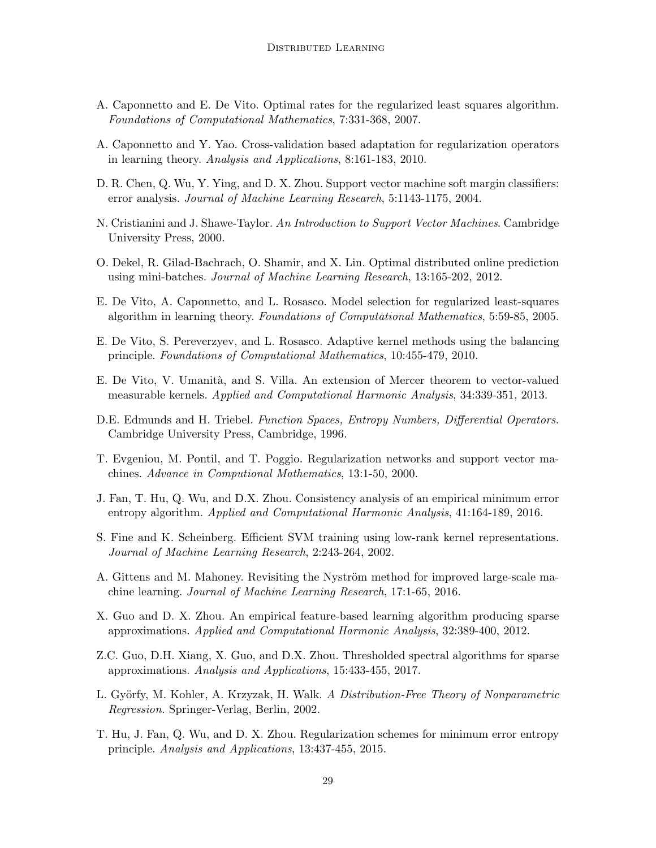- <span id="page-28-4"></span>A. Caponnetto and E. De Vito. Optimal rates for the regularized least squares algorithm. Foundations of Computational Mathematics, 7:331-368, 2007.
- <span id="page-28-6"></span>A. Caponnetto and Y. Yao. Cross-validation based adaptation for regularization operators in learning theory. Analysis and Applications, 8:161-183, 2010.
- <span id="page-28-9"></span>D. R. Chen, Q. Wu, Y. Ying, and D. X. Zhou. Support vector machine soft margin classifiers: error analysis. Journal of Machine Learning Research, 5:1143-1175, 2004.
- <span id="page-28-1"></span>N. Cristianini and J. Shawe-Taylor. An Introduction to Support Vector Machines. Cambridge University Press, 2000.
- <span id="page-28-11"></span>O. Dekel, R. Gilad-Bachrach, O. Shamir, and X. Lin. Optimal distributed online prediction using mini-batches. Journal of Machine Learning Research, 13:165-202, 2012.
- <span id="page-28-3"></span>E. De Vito, A. Caponnetto, and L. Rosasco. Model selection for regularized least-squares algorithm in learning theory. Foundations of Computational Mathematics, 5:59-85, 2005.
- <span id="page-28-8"></span>E. De Vito, S. Pereverzyev, and L. Rosasco. Adaptive kernel methods using the balancing principle. Foundations of Computational Mathematics, 10:455-479, 2010.
- <span id="page-28-12"></span>E. De Vito, V. Umanità, and S. Villa. An extension of Mercer theorem to vector-valued measurable kernels. Applied and Computational Harmonic Analysis, 34:339-351, 2013.
- <span id="page-28-5"></span>D.E. Edmunds and H. Triebel. Function Spaces, Entropy Numbers, Differential Operators. Cambridge University Press, Cambridge, 1996.
- <span id="page-28-2"></span>T. Evgeniou, M. Pontil, and T. Poggio. Regularization networks and support vector machines. Advance in Computional Mathematics, 13:1-50, 2000.
- <span id="page-28-16"></span>J. Fan, T. Hu, Q. Wu, and D.X. Zhou. Consistency analysis of an empirical minimum error entropy algorithm. Applied and Computational Harmonic Analysis, 41:164-189, 2016.
- <span id="page-28-0"></span>S. Fine and K. Scheinberg. Efficient SVM training using low-rank kernel representations. Journal of Machine Learning Research, 2:243-264, 2002.
- <span id="page-28-10"></span>A. Gittens and M. Mahoney. Revisiting the Nyström method for improved large-scale machine learning. Journal of Machine Learning Research, 17:1-65, 2016.
- <span id="page-28-13"></span>X. Guo and D. X. Zhou. An empirical feature-based learning algorithm producing sparse approximations. Applied and Computational Harmonic Analysis, 32:389-400, 2012.
- <span id="page-28-14"></span>Z.C. Guo, D.H. Xiang, X. Guo, and D.X. Zhou. Thresholded spectral algorithms for sparse approximations. Analysis and Applications, 15:433-455, 2017.
- <span id="page-28-7"></span>L. Györfy, M. Kohler, A. Krzyzak, H. Walk. A Distribution-Free Theory of Nonparametric Regression. Springer-Verlag, Berlin, 2002.
- <span id="page-28-15"></span>T. Hu, J. Fan, Q. Wu, and D. X. Zhou. Regularization schemes for minimum error entropy principle. Analysis and Applications, 13:437-455, 2015.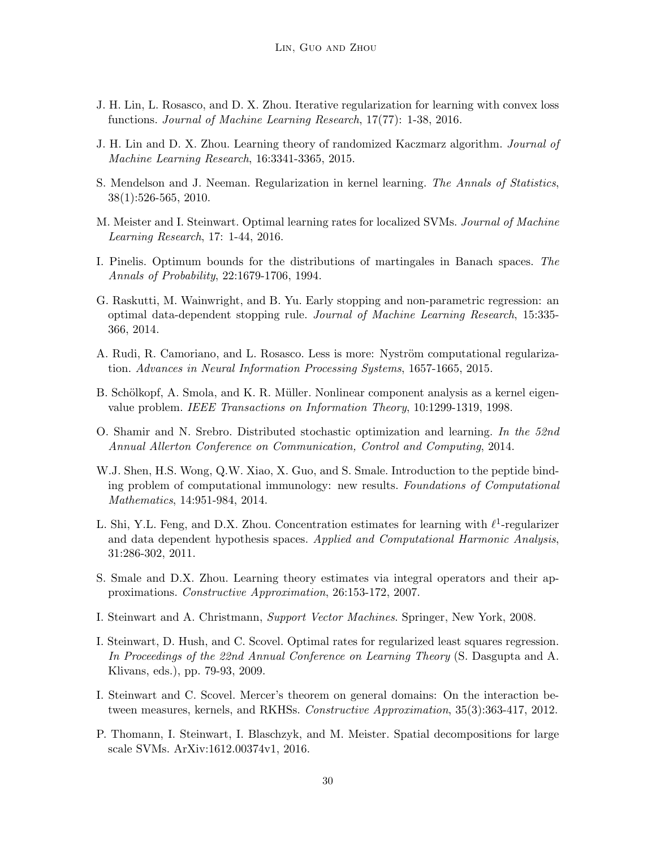- <span id="page-29-2"></span>J. H. Lin, L. Rosasco, and D. X. Zhou. Iterative regularization for learning with convex loss functions. Journal of Machine Learning Research, 17(77): 1-38, 2016.
- <span id="page-29-14"></span>J. H. Lin and D. X. Zhou. Learning theory of randomized Kaczmarz algorithm. Journal of Machine Learning Research, 16:3341-3365, 2015.
- <span id="page-29-7"></span>S. Mendelson and J. Neeman. Regularization in kernel learning. The Annals of Statistics, 38(1):526-565, 2010.
- <span id="page-29-8"></span>M. Meister and I. Steinwart. Optimal learning rates for localized SVMs. Journal of Machine Learning Research, 17: 1-44, 2016.
- <span id="page-29-15"></span>I. Pinelis. Optimum bounds for the distributions of martingales in Banach spaces. The Annals of Probability, 22:1679-1706, 1994.
- <span id="page-29-1"></span>G. Raskutti, M. Wainwright, and B. Yu. Early stopping and non-parametric regression: an optimal data-dependent stopping rule. Journal of Machine Learning Research, 15:335- 366, 2014.
- <span id="page-29-9"></span>A. Rudi, R. Camoriano, and L. Rosasco. Less is more: Nyström computational regularization. Advances in Neural Information Processing Systems, 1657-1665, 2015.
- <span id="page-29-0"></span>B. Schölkopf, A. Smola, and K. R. Müller. Nonlinear component analysis as a kernel eigenvalue problem. IEEE Transactions on Information Theory, 10:1299-1319, 1998.
- <span id="page-29-3"></span>O. Shamir and N. Srebro. Distributed stochastic optimization and learning. In the 52nd Annual Allerton Conference on Communication, Control and Computing, 2014.
- <span id="page-29-12"></span>W.J. Shen, H.S. Wong, Q.W. Xiao, X. Guo, and S. Smale. Introduction to the peptide binding problem of computational immunology: new results. Foundations of Computational Mathematics, 14:951-984, 2014.
- <span id="page-29-13"></span>L. Shi, Y.L. Feng, and D.X. Zhou. Concentration estimates for learning with  $\ell^1$ -regularizer and data dependent hypothesis spaces. Applied and Computational Harmonic Analysis, 31:286-302, 2011.
- <span id="page-29-5"></span>S. Smale and D.X. Zhou. Learning theory estimates via integral operators and their approximations. Constructive Approximation, 26:153-172, 2007.
- <span id="page-29-6"></span>I. Steinwart and A. Christmann, Support Vector Machines. Springer, New York, 2008.
- <span id="page-29-4"></span>I. Steinwart, D. Hush, and C. Scovel. Optimal rates for regularized least squares regression. In Proceedings of the 22nd Annual Conference on Learning Theory (S. Dasgupta and A. Klivans, eds.), pp. 79-93, 2009.
- <span id="page-29-11"></span>I. Steinwart and C. Scovel. Mercer's theorem on general domains: On the interaction between measures, kernels, and RKHSs. Constructive Approximation, 35(3):363-417, 2012.
- <span id="page-29-10"></span>P. Thomann, I. Steinwart, I. Blaschzyk, and M. Meister. Spatial decompositions for large scale SVMs. ArXiv:1612.00374v1, 2016.